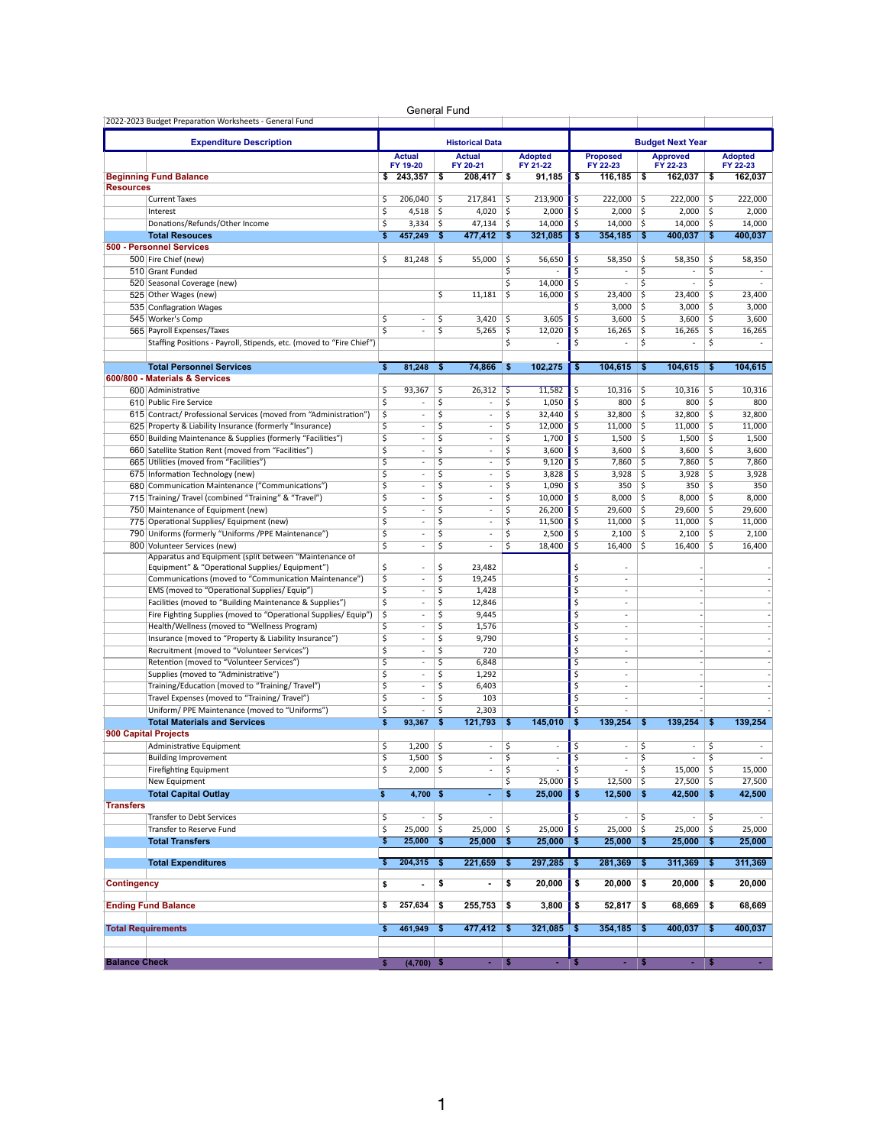|                      | 2022-2023 Budget Preparation Worksheets - General Fund                                                              |                         | General Fund                       |                         |                                         |                               |                          |                        |                                                      |          |                                            |            |                |
|----------------------|---------------------------------------------------------------------------------------------------------------------|-------------------------|------------------------------------|-------------------------|-----------------------------------------|-------------------------------|--------------------------|------------------------|------------------------------------------------------|----------|--------------------------------------------|------------|----------------|
|                      |                                                                                                                     |                         |                                    |                         |                                         |                               |                          |                        |                                                      |          |                                            |            |                |
|                      | <b>Expenditure Description</b>                                                                                      |                         | <b>Actual</b>                      |                         | <b>Historical Data</b><br><b>Actual</b> |                               | <b>Adopted</b>           |                        | <b>Proposed</b>                                      |          | <b>Budget Next Year</b><br><b>Approved</b> |            | <b>Adopted</b> |
|                      |                                                                                                                     |                         | FY 19-20                           |                         | FY 20-21                                |                               | FY 21-22                 |                        | FY 22-23                                             |          | FY 22-23                                   |            | FY 22-23       |
|                      | <b>Beginning Fund Balance</b>                                                                                       | \$                      | 243,357                            | \$                      | 208,417                                 | \$                            | 91,185                   | \$                     | 116,185                                              | \$       | 162,037                                    | \$         | 162,037        |
| <b>Resources</b>     | <b>Current Taxes</b>                                                                                                | \$                      | 206,040                            | \$                      | 217,841                                 | \$                            | 213,900                  | \$                     | 222.000                                              | \$       | 222,000                                    | \$         | 222,000        |
|                      | Interest                                                                                                            | \$                      | 4,518                              | \$                      | 4,020                                   | \$                            | 2,000                    | \$                     | 2,000                                                | \$       | 2,000                                      | \$         | 2,000          |
|                      | Donations/Refunds/Other Income                                                                                      | $\overline{\mathsf{S}}$ | 3,334                              | $\overline{\mathsf{S}}$ | 47,134                                  | \$                            | 14,000                   | \$                     | 14,000                                               | \$       | 14,000                                     | \$         | 14,000         |
|                      | <b>Total Resouces</b>                                                                                               | \$                      | 457,249                            | -\$                     | 477,412                                 | -\$                           | 321,085                  | \$                     | 354,185                                              | \$       | 400,037                                    | \$         | 400,037        |
|                      | 500 - Personnel Services                                                                                            |                         |                                    |                         |                                         |                               |                          |                        |                                                      |          |                                            |            |                |
|                      | 500 Fire Chief (new)                                                                                                | \$                      | 81,248                             | \$                      | 55,000                                  | \$                            | 56,650                   | \$<br>Ś                | 58,350                                               | \$       | 58,350                                     | \$         | 58,350         |
|                      | 510 Grant Funded<br>520 Seasonal Coverage (new)                                                                     |                         |                                    |                         |                                         | \$<br>$\overline{\mathsf{s}}$ | 14,000                   | \$                     | $\overline{\phantom{m}}$                             | \$<br>\$ | ÷,<br>$\overline{\phantom{m}}$             | \$<br>\$   |                |
|                      | 525 Other Wages (new)                                                                                               |                         |                                    | \$                      | 11,181                                  | \$                            | 16,000                   | \$                     | 23,400                                               | \$       | 23.400                                     | \$         | 23,400         |
|                      | 535 Conflagration Wages                                                                                             |                         |                                    |                         |                                         |                               |                          | Ś                      | 3,000                                                | \$       | 3,000                                      | \$         | 3,000          |
|                      | 545 Worker's Comp                                                                                                   | \$                      | ٠                                  | \$                      | 3,420                                   | \$                            | 3,605                    | Ś                      | 3,600                                                | \$       | 3,600                                      | \$         | 3,600          |
|                      | 565 Payroll Expenses/Taxes                                                                                          | $\overline{\mathsf{s}}$ | ٠                                  | \$                      | 5,265                                   | $\overline{\mathsf{S}}$       | 12,020                   | Ś                      | 16,265                                               | \$       | 16,265                                     | \$         | 16,265         |
|                      | Staffing Positions - Payroll, Stipends, etc. (moved to "Fire Chief")                                                |                         |                                    |                         |                                         | \$                            |                          | Ś                      |                                                      | \$       | ä,                                         | \$         |                |
|                      | <b>Total Personnel Services</b>                                                                                     | \$                      | 81,248                             | \$                      | 74,866                                  | \$                            | 102,275                  | \$                     | 104,615                                              | \$       | 104,615                                    | \$         | 104,615        |
|                      | 600/800 - Materials & Services                                                                                      |                         |                                    |                         |                                         |                               |                          |                        |                                                      |          |                                            |            |                |
|                      | 600 Administrative                                                                                                  | \$                      | 93,367                             | \$                      | 26,312                                  | \$                            | 11,582                   | \$                     | 10,316                                               | S.       | 10,316                                     | \$         | 10,316         |
|                      | 610 Public Fire Service                                                                                             | \$                      | $\overline{\phantom{a}}$           | \$                      | $\overline{\phantom{a}}$                | $\overline{\mathsf{s}}$       | 1,050                    | \$                     | 800                                                  | \$       | 800                                        | \$         | 800            |
|                      | 615 Contract/ Professional Services (moved from "Administration")                                                   | $\overline{\mathsf{S}}$ | $\overline{\phantom{a}}$           | $\overline{\mathsf{s}}$ | $\overline{\phantom{a}}$                | $\overline{\varsigma}$        | 32,440                   | Ś                      | 32,800                                               | \$       | 32,800                                     | \$         | 32,800         |
|                      | 625 Property & Liability Insurance (formerly "Insurance)                                                            | $\overline{\mathsf{S}}$ | ٠                                  | \$                      | $\overline{\phantom{a}}$                | $\overline{\mathsf{s}}$       | 12,000                   | \$                     | 11,000                                               | S.       | 11,000                                     | \$         | 11.000         |
|                      | 650 Building Maintenance & Supplies (formerly "Facilities")<br>660 Satellite Station Rent (moved from "Facilities") | \$<br>\$                | ÷<br>$\overline{\phantom{a}}$      | \$<br>\$                | ÷,<br>$\overline{\phantom{a}}$          | \$<br>$\overline{\mathsf{s}}$ | 1,700<br>3,600           | Ś<br>Ś                 | 1,500<br>3,600                                       | \$<br>\$ | 1,500<br>3,600                             | \$<br>\$   | 1,500<br>3,600 |
|                      | 665 Utilities (moved from "Facilities")                                                                             | $\overline{\mathsf{S}}$ | ٠                                  | \$                      | $\overline{\phantom{a}}$                | $\overline{\mathsf{s}}$       | 9,120                    | Ś                      | 7,860                                                | \$       | 7,860                                      | \$         | 7,860          |
|                      | 675 Information Technology (new)                                                                                    | $\overline{\mathsf{S}}$ | ٠                                  | \$                      | $\overline{\phantom{a}}$                | $\overline{\mathsf{s}}$       | 3,828                    | Ś                      | 3,928                                                | \$       | 3,928                                      | \$         | 3,928          |
|                      | 680 Communication Maintenance ("Communications")                                                                    | \$                      | ×                                  | \$                      | ÷,                                      | \$                            | 1,090                    | \$                     | 350                                                  | \$       | 350                                        | \$         | 350            |
|                      | 715 Training/ Travel (combined "Training" & "Travel")                                                               | \$                      | $\overline{\phantom{a}}$           | \$                      | $\overline{\phantom{a}}$                | $\overline{\mathsf{s}}$       | 10.000                   | \$                     | 8,000                                                | \$       | 8,000                                      | \$         | 8,000          |
|                      | 750 Maintenance of Equipment (new)                                                                                  | $\overline{\mathsf{s}}$ | $\overline{\phantom{a}}$           | Ś                       | $\overline{\phantom{a}}$                | \$                            | 26,200                   | Ś                      | 29,600                                               | \$       | 29,600                                     | \$         | 29,600         |
|                      | 775 Operational Supplies/ Equipment (new)                                                                           | $\overline{\mathsf{S}}$ | ٠                                  | \$                      | $\overline{\phantom{a}}$                | $\overline{\mathsf{s}}$       | 11,500                   | \$                     | 11.000                                               | \$       | 11,000                                     | \$         | 11,000         |
|                      | 790 Uniforms (formerly "Uniforms /PPE Maintenance")                                                                 | \$<br>\$                | ä,                                 | \$<br>\$                | ×,                                      | \$<br>$\overline{\mathsf{s}}$ | 2,500                    | \$<br>Ś                | 2,100                                                | \$       | 2,100                                      | \$<br>\$   | 2,100          |
|                      | 800 Volunteer Services (new)<br>Apparatus and Equipment (split between "Maintenance of                              |                         | $\overline{\phantom{m}}$           |                         | $\overline{\phantom{a}}$                |                               | 18,400                   |                        | 16,400                                               | \$       | 16,400                                     |            | 16,400         |
|                      | Equipment" & "Operational Supplies/ Equipment")                                                                     | \$                      | ł,                                 | \$                      | 23,482                                  |                               |                          | Ś                      | ÷                                                    |          |                                            |            |                |
|                      | Communications (moved to "Communication Maintenance")                                                               | \$                      | ÷,                                 | \$                      | 19,245                                  |                               |                          | \$                     | $\overline{\phantom{a}}$                             |          |                                            |            |                |
|                      | EMS (moved to "Operational Supplies/ Equip")                                                                        | \$                      | ÷                                  | \$                      | 1,428                                   |                               |                          | \$                     | ٠                                                    |          |                                            |            |                |
|                      | Facilities (moved to "Building Maintenance & Supplies")                                                             | \$                      | ÷,                                 | \$                      | 12,846                                  |                               |                          | \$                     | $\overline{\phantom{a}}$                             |          |                                            |            |                |
|                      | Fire Fighting Supplies (moved to "Operational Supplies/ Equip")<br>Health/Wellness (moved to "Wellness Program)     | \$<br>\$                | $\overline{\phantom{a}}$<br>×      | \$<br>\$                | 9,445<br>1,576                          |                               |                          | Ś<br>\$                | $\overline{\phantom{a}}$<br>$\overline{\phantom{a}}$ |          |                                            |            |                |
|                      | Insurance (moved to "Property & Liability Insurance")                                                               | \$                      | ٠                                  | \$                      | 9,790                                   |                               |                          | \$                     | ٠                                                    |          |                                            |            |                |
|                      | Recruitment (moved to "Volunteer Services")                                                                         | \$                      | ÷,                                 | \$                      | 720                                     |                               |                          | \$                     | $\overline{\phantom{a}}$                             |          |                                            |            |                |
|                      | Retention (moved to "Volunteer Services")                                                                           | \$                      | $\overline{\phantom{a}}$           | \$                      | 6,848                                   |                               |                          | \$                     | $\overline{\phantom{a}}$                             |          |                                            |            |                |
|                      | Supplies (moved to "Administrative")                                                                                | $\overline{\mathsf{s}}$ | $\overline{\phantom{a}}$           | \$                      | 1,292                                   |                               |                          | Ś                      | $\overline{\phantom{a}}$                             |          |                                            |            |                |
|                      | Training/Education (moved to "Training/ Travel")                                                                    | \$                      | ÷                                  | \$                      | 6,403                                   |                               |                          | \$                     | ٠                                                    |          |                                            |            |                |
|                      | Travel Expenses (moved to "Training/Travel")                                                                        | \$                      | ÷,                                 | \$                      | 103                                     |                               |                          | \$                     | ÷,                                                   |          |                                            |            |                |
|                      | Uniform/ PPE Maintenance (moved to "Uniforms")<br><b>Total Materials and Services</b>                               | \$<br>\$                | $\overline{\phantom{m}}$<br>93,367 | \$<br>\$                | 2,303<br>121.793                        | \$                            | 145.010                  | \$<br>\$               | $\overline{\phantom{a}}$<br>139,254                  | \$       | 139,254                                    | \$         | 139,254        |
|                      | <b>900 Capital Projects</b>                                                                                         |                         |                                    |                         |                                         |                               |                          |                        |                                                      |          |                                            |            |                |
|                      | Administrative Equipment                                                                                            | \$                      | 1,200                              | \$                      | $\overline{\phantom{a}}$                | \$                            | ÷,                       | \$                     | $\overline{\phantom{a}}$                             | \$       | $\overline{\phantom{a}}$                   | \$         |                |
|                      | <b>Building Improvement</b>                                                                                         | Ş                       | $1,500$   \$                       |                         | ٠                                       | Ş                             | $\sim$                   | Ş                      | $\sim$                                               | Ş        | <b>Contract</b>                            | ١Ş         |                |
|                      | <b>Firefighting Equipment</b>                                                                                       | \$                      | $2,000$ \$                         |                         | $\overline{\phantom{a}}$                | \$                            | $\overline{\phantom{a}}$ | $\overline{\varsigma}$ | $\sim$                                               | \$       | $15,000$ \$                                |            | 15,000         |
|                      | New Equipment                                                                                                       |                         |                                    |                         |                                         | \$                            | 25,000                   | \$                     | 12,500                                               | -\$      | 27,500                                     | \$         | 27,500         |
|                      | <b>Total Capital Outlay</b>                                                                                         | \$                      | $4,700$ \$                         |                         | $\blacksquare$                          | \$                            | 25,000                   | \$                     | 12,500                                               | -\$      | 42,500                                     | \$         | 42,500         |
| <b>Transfers</b>     | <b>Transfer to Debt Services</b>                                                                                    | \$                      |                                    | \$                      |                                         |                               |                          | \$                     |                                                      | \$       | ٠                                          | \$         |                |
|                      | Transfer to Reserve Fund                                                                                            | \$                      | $25,000$ \$                        |                         | 25,000                                  | \$                            | 25,000                   | \$                     | 25,000                                               | \$       | 25,000                                     | \$         | 25,000         |
|                      | <b>Total Transfers</b>                                                                                              | \$                      | 25,000                             | \$                      | 25,000                                  | \$                            | 25,000                   | \$                     | 25,000                                               | \$       | $25,000$ \$                                |            | 25,000         |
|                      | <b>Total Expenditures</b>                                                                                           | \$                      | 204,315                            | \$                      | 221,659                                 | \$                            | 297,285                  | \$                     | 281,369                                              | -\$      | 311,369                                    |            | 311,369        |
|                      |                                                                                                                     |                         |                                    |                         |                                         |                               |                          |                        |                                                      |          |                                            | \$         |                |
| <b>Contingency</b>   |                                                                                                                     | \$                      | $\overline{\phantom{a}}$           | \$                      | $\blacksquare$                          | \$                            | 20,000                   | \$                     | 20,000                                               | \$       | 20,000                                     | $\sqrt{2}$ | 20,000         |
|                      | <b>Ending Fund Balance</b>                                                                                          | \$                      | 257,634                            | \$                      | 255,753                                 | \$                            | 3,800                    | \$                     | 52,817                                               | \$       | 68,669                                     | \$         | 68,669         |
|                      |                                                                                                                     |                         |                                    |                         |                                         |                               |                          |                        |                                                      |          |                                            |            |                |
|                      | <b>Total Requirements</b>                                                                                           | \$                      | 461,949                            | \$                      | 477,412                                 | \$                            | 321,085                  | \$                     | 354,185                                              | \$       | 400,037                                    | \$         | 400,037        |
|                      |                                                                                                                     |                         |                                    |                         |                                         |                               |                          |                        |                                                      |          |                                            |            |                |
| <b>Balance Check</b> |                                                                                                                     | s                       | $(4,700)$ \$                       |                         | - S                                     |                               | ÷                        |                        | - S                                                  |          | $\sim$                                     |            |                |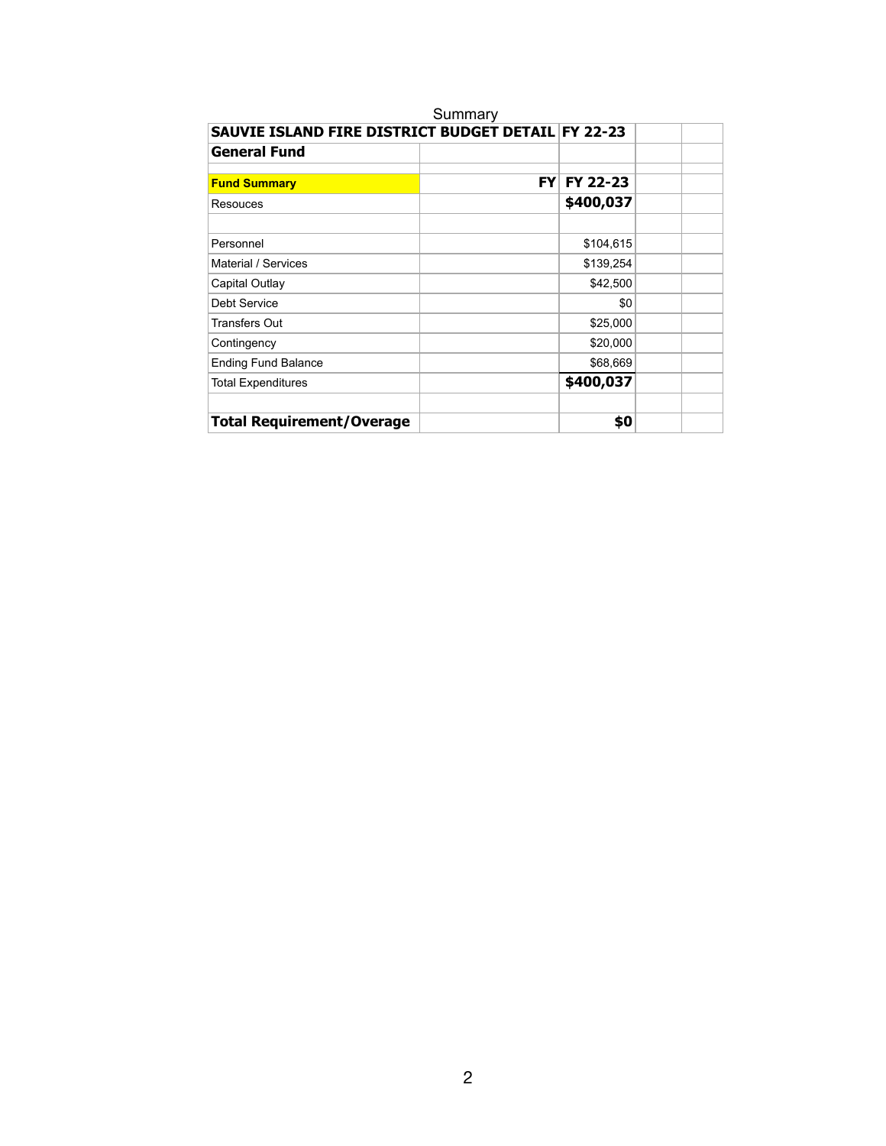| SAUVIE ISLAND FIRE DISTRICT BUDGET DETAIL FY 22-23 |           |                 |  |
|----------------------------------------------------|-----------|-----------------|--|
| <b>General Fund</b>                                |           |                 |  |
| <b>Fund Summary</b>                                | <b>FY</b> | <b>FY 22-23</b> |  |
| Resouces                                           |           | \$400,037       |  |
| Personnel                                          |           | \$104,615       |  |
| Material / Services                                |           | \$139,254       |  |
| Capital Outlay                                     |           | \$42,500        |  |
| Debt Service                                       |           | \$0             |  |
| Transfers Out                                      |           | \$25,000        |  |
| Contingency                                        |           | \$20,000        |  |
| <b>Ending Fund Balance</b>                         |           | \$68,669        |  |
| <b>Total Expenditures</b>                          |           | \$400,037       |  |
| <b>Total Requirement/Overage</b>                   |           | \$0             |  |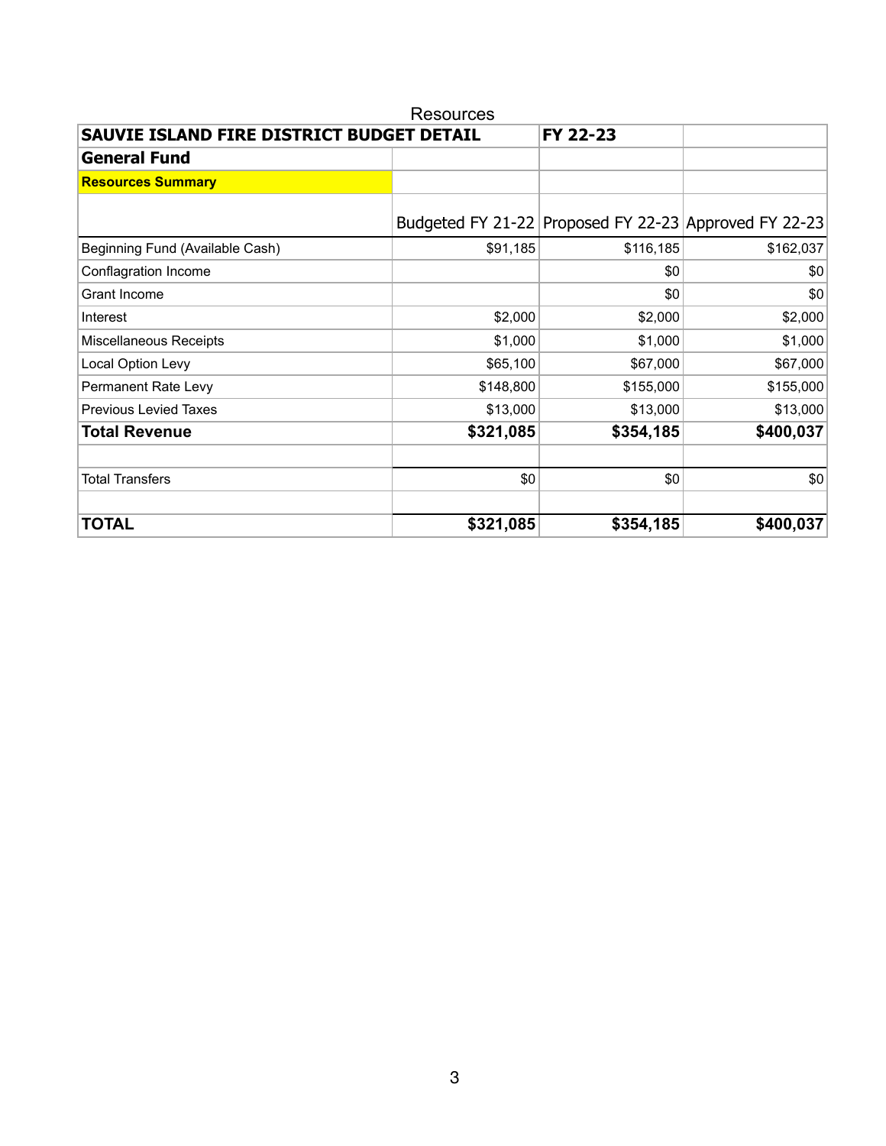| SAUVIE ISLAND FIRE DISTRICT BUDGET DETAIL |           | FY 22-23  |                                                       |
|-------------------------------------------|-----------|-----------|-------------------------------------------------------|
| <b>General Fund</b>                       |           |           |                                                       |
| <b>Resources Summary</b>                  |           |           |                                                       |
|                                           |           |           | Budgeted FY 21-22 Proposed FY 22-23 Approved FY 22-23 |
| Beginning Fund (Available Cash)           | \$91,185  | \$116,185 | \$162,037                                             |
| Conflagration Income                      |           | \$0       | \$0                                                   |
| Grant Income                              |           | \$0       | \$0                                                   |
| Interest                                  | \$2,000   | \$2,000   | \$2,000                                               |
| Miscellaneous Receipts                    | \$1,000   | \$1,000   | \$1,000                                               |
| Local Option Levy                         | \$65,100  | \$67,000  | \$67,000                                              |
| Permanent Rate Levy                       | \$148,800 | \$155,000 | \$155,000                                             |
| <b>Previous Levied Taxes</b>              | \$13,000  | \$13,000  | \$13,000                                              |
| <b>Total Revenue</b>                      | \$321,085 | \$354,185 | \$400,037                                             |
| <b>Total Transfers</b>                    | \$0       | \$0       | \$0                                                   |
| <b>TOTAL</b>                              | \$321,085 | \$354,185 | \$400,037                                             |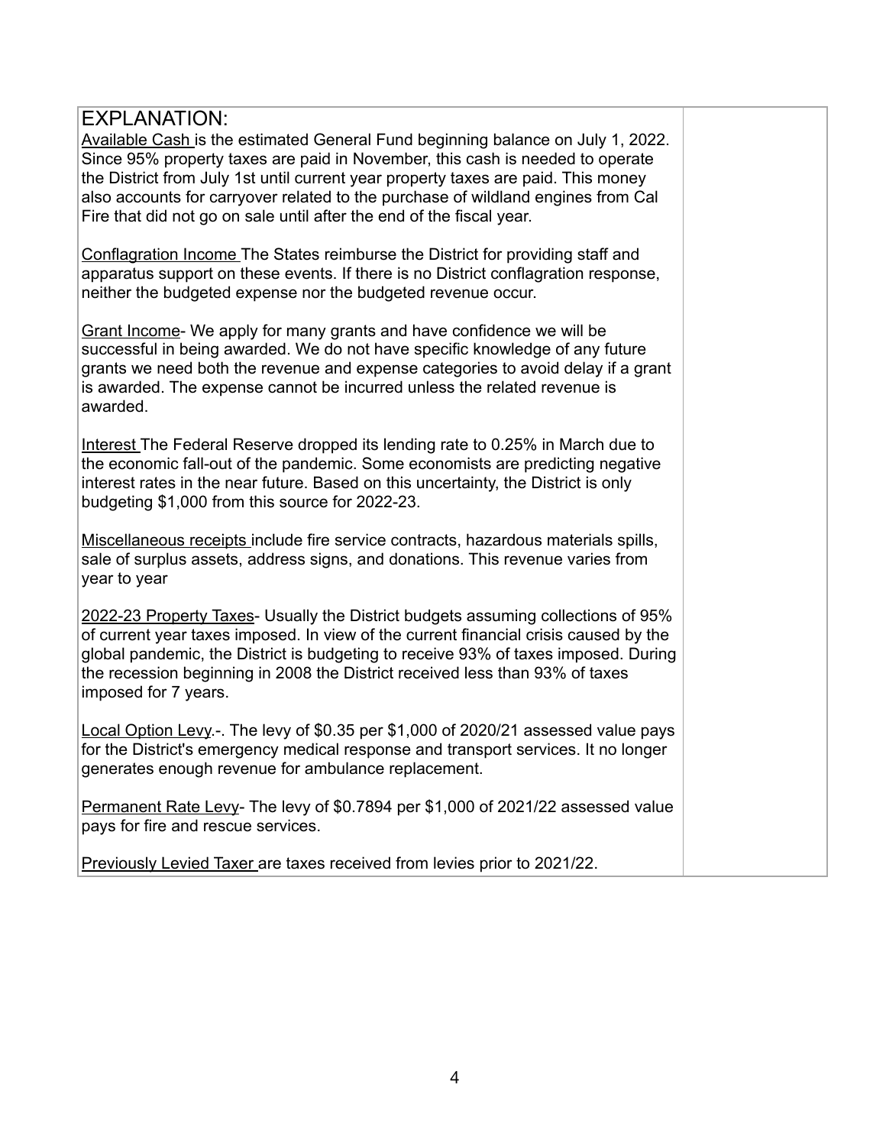Available Cash is the estimated General Fund beginning balance on July 1, 2022. Since 95% property taxes are paid in November, this cash is needed to operate the District from July 1st until current year property taxes are paid. This money also accounts for carryover related to the purchase of wildland engines from Cal Fire that did not go on sale until after the end of the fiscal year.

Conflagration Income The States reimburse the District for providing staff and apparatus support on these events. If there is no District conflagration response, neither the budgeted expense nor the budgeted revenue occur.

Grant Income- We apply for many grants and have confidence we will be successful in being awarded. We do not have specific knowledge of any future grants we need both the revenue and expense categories to avoid delay if a grant is awarded. The expense cannot be incurred unless the related revenue is awarded.

Interest The Federal Reserve dropped its lending rate to 0.25% in March due to the economic fall-out of the pandemic. Some economists are predicting negative interest rates in the near future. Based on this uncertainty, the District is only budgeting \$1,000 from this source for 2022-23.

Miscellaneous receipts include fire service contracts, hazardous materials spills, sale of surplus assets, address signs, and donations. This revenue varies from year to year

2022-23 Property Taxes- Usually the District budgets assuming collections of 95% of current year taxes imposed. In view of the current financial crisis caused by the global pandemic, the District is budgeting to receive 93% of taxes imposed. During the recession beginning in 2008 the District received less than 93% of taxes imposed for 7 years.

Local Option Levy.-. The levy of \$0.35 per \$1,000 of 2020/21 assessed value pays for the District's emergency medical response and transport services. It no longer generates enough revenue for ambulance replacement.

Permanent Rate Levy- The levy of \$0.7894 per \$1,000 of 2021/22 assessed value pays for fire and rescue services.

Previously Levied Taxer are taxes received from levies prior to 2021/22.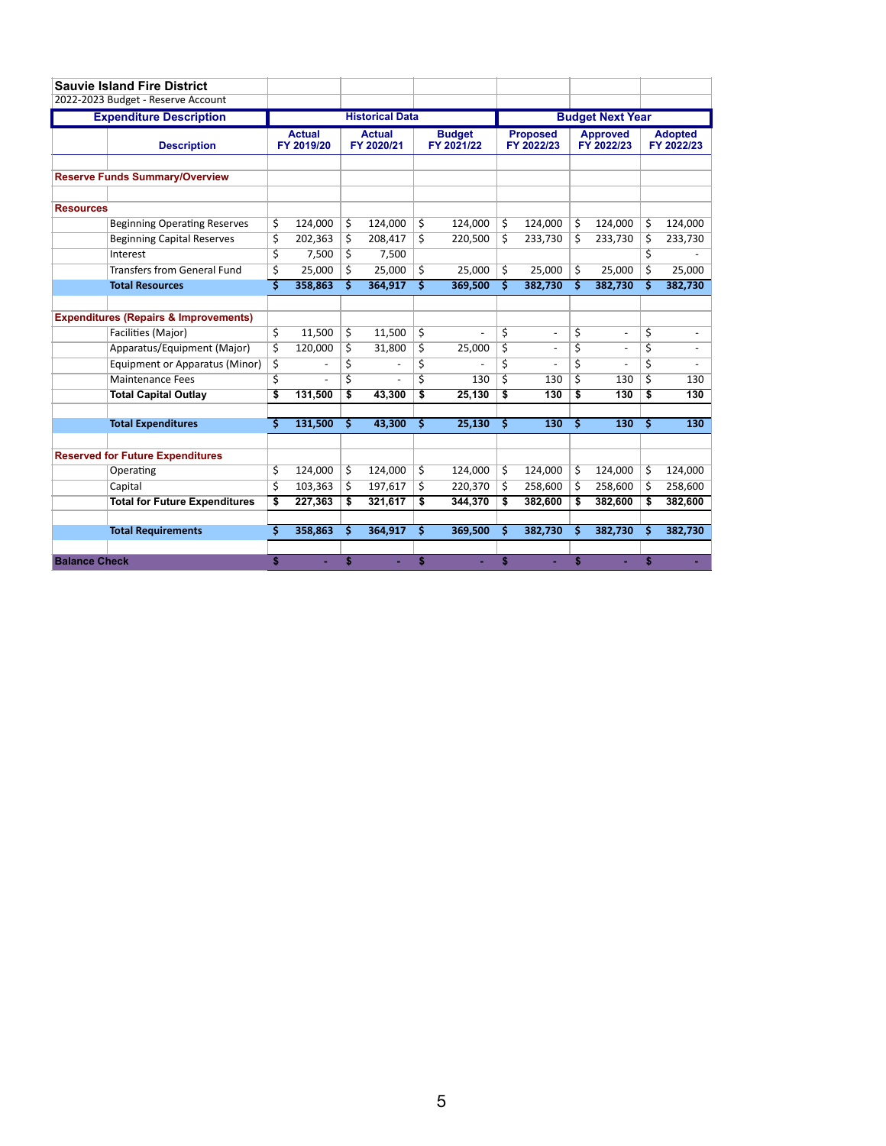|                      | <b>Sauvie Island Fire District</b>               |    |                             |    |                             |     |                             |                         |                               |    |                               |    |                              |
|----------------------|--------------------------------------------------|----|-----------------------------|----|-----------------------------|-----|-----------------------------|-------------------------|-------------------------------|----|-------------------------------|----|------------------------------|
|                      | 2022-2023 Budget - Reserve Account               |    |                             |    |                             |     |                             |                         |                               |    |                               |    |                              |
|                      | <b>Expenditure Description</b>                   |    |                             |    | <b>Historical Data</b>      |     |                             | <b>Budget Next Year</b> |                               |    |                               |    |                              |
|                      | <b>Description</b>                               |    | <b>Actual</b><br>FY 2019/20 |    | <b>Actual</b><br>FY 2020/21 |     | <b>Budget</b><br>FY 2021/22 |                         | <b>Proposed</b><br>FY 2022/23 |    | <b>Approved</b><br>FY 2022/23 |    | <b>Adopted</b><br>FY 2022/23 |
|                      | <b>Reserve Funds Summary/Overview</b>            |    |                             |    |                             |     |                             |                         |                               |    |                               |    |                              |
| <b>Resources</b>     |                                                  |    |                             |    |                             |     |                             |                         |                               |    |                               |    |                              |
|                      | <b>Beginning Operating Reserves</b>              | \$ | 124,000                     | \$ | 124,000                     | \$  | 124,000                     | \$                      | 124,000                       | \$ | 124,000                       | \$ | 124,000                      |
|                      | <b>Beginning Capital Reserves</b>                | \$ | 202,363                     | \$ | 208,417                     | \$  | 220,500                     | Ś                       | 233,730                       | Ŝ  | 233,730                       | \$ | 233,730                      |
|                      | Interest                                         | \$ | 7,500                       | \$ | 7,500                       |     |                             |                         |                               |    |                               | \$ |                              |
|                      | <b>Transfers from General Fund</b>               | Ś  | 25.000                      | Ś  | 25.000                      | Ś.  | 25,000                      | Ś                       | 25.000                        | Ś. | 25.000                        | Ś. | 25.000                       |
|                      | <b>Total Resources</b>                           | Š  | 358,863                     | Ś  | 364,917                     | Ś.  | 369,500                     | Ś                       | 382,730                       | Ś  | 382,730                       | Ś  | 382,730                      |
|                      |                                                  |    |                             |    |                             |     |                             |                         |                               |    |                               |    |                              |
|                      | <b>Expenditures (Repairs &amp; Improvements)</b> |    |                             |    |                             |     |                             |                         |                               |    |                               |    |                              |
|                      | Facilities (Major)                               | \$ | 11,500                      | \$ | 11,500                      | \$  |                             | \$                      | $\frac{1}{2}$                 | \$ | $\blacksquare$                | \$ |                              |
|                      | Apparatus/Equipment (Major)                      | \$ | 120,000                     | \$ | 31,800                      | \$  | 25,000                      | \$                      | ä,                            | \$ | $\blacksquare$                | \$ | $\overline{\phantom{a}}$     |
|                      | Equipment or Apparatus (Minor)                   | \$ |                             | \$ |                             | \$  |                             | \$                      |                               | \$ |                               | \$ |                              |
|                      | <b>Maintenance Fees</b>                          | \$ | ÷,                          | \$ |                             | \$  | 130                         | \$                      | 130                           | \$ | 130                           | \$ | 130                          |
|                      | <b>Total Capital Outlay</b>                      | \$ | 131,500                     | \$ | 43,300                      | \$  | 25,130                      | \$                      | 130                           | \$ | 130                           | \$ | 130                          |
|                      |                                                  |    |                             |    |                             |     |                             |                         |                               |    |                               |    |                              |
|                      | <b>Total Expenditures</b>                        | Ś  | 131,500                     | Ś  | 43,300                      | \$  | 25,130                      | \$                      | 130                           | \$ | 130                           | \$ | 130                          |
|                      |                                                  |    |                             |    |                             |     |                             |                         |                               |    |                               |    |                              |
|                      | <b>Reserved for Future Expenditures</b>          |    |                             |    |                             |     |                             |                         |                               |    |                               |    |                              |
|                      | Operating                                        | \$ | 124,000                     | \$ | 124,000                     | \$  | 124,000                     | \$                      | 124,000                       | \$ | 124,000                       | \$ | 124,000                      |
|                      | Capital                                          | \$ | 103,363                     | Ś  | 197,617                     | Ś   | 220,370                     | \$                      | 258,600                       | \$ | 258,600                       | \$ | 258,600                      |
|                      | <b>Total for Future Expenditures</b>             | \$ | 227,363                     | \$ | 321,617                     | \$  | 344,370                     | \$                      | 382,600                       | \$ | 382,600                       | \$ | 382,600                      |
|                      | <b>Total Requirements</b>                        | Ś  | 358,863                     | Ś  | 364,917                     | \$. | 369,500                     | \$                      | 382,730                       | \$ | 382,730                       | \$ | 382,730                      |
|                      |                                                  |    |                             |    |                             |     |                             |                         |                               |    |                               |    |                              |
| <b>Balance Check</b> |                                                  | \$ |                             | \$ |                             | \$  |                             | \$                      |                               | \$ |                               | \$ |                              |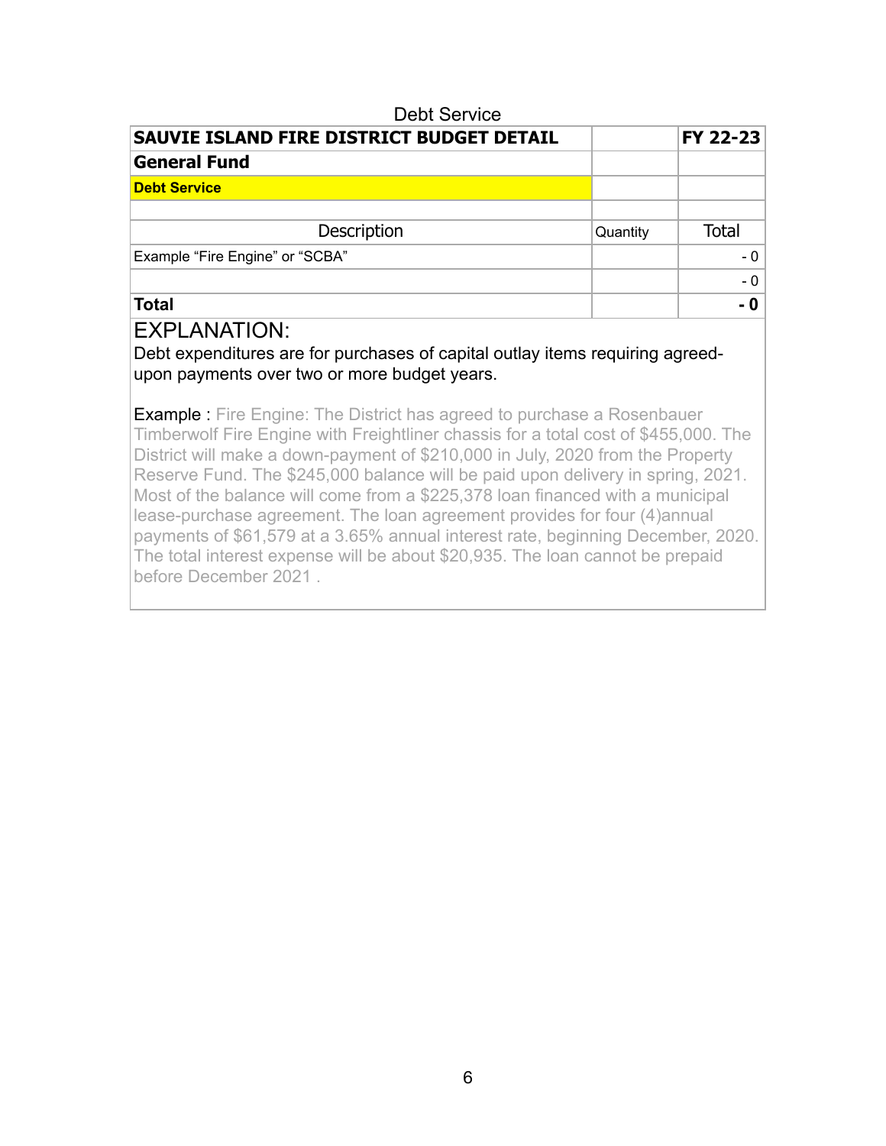| Dept Service                              |          |              |
|-------------------------------------------|----------|--------------|
| SAUVIE ISLAND FIRE DISTRICT BUDGET DETAIL |          | FY 22-23     |
| <b>General Fund</b>                       |          |              |
| <b>Debt Service</b>                       |          |              |
|                                           |          |              |
| Description                               | Quantity | <b>Total</b> |
| Example "Fire Engine" or "SCBA"           |          | $-0$         |
|                                           |          | $-0$         |
| <b>Total</b>                              |          | - 0          |

 $\overline{\phantom{a}}$ 

#### EXPLANATION:

Debt expenditures are for purchases of capital outlay items requiring agreedupon payments over two or more budget years.

**Example :** Fire Engine: The District has agreed to purchase a Rosenbauer Timberwolf Fire Engine with Freightliner chassis for a total cost of \$455,000. The District will make a down-payment of \$210,000 in July, 2020 from the Property Reserve Fund. The \$245,000 balance will be paid upon delivery in spring, 2021. Most of the balance will come from a \$225,378 loan financed with a municipal lease-purchase agreement. The loan agreement provides for four (4)annual payments of \$61,579 at a 3.65% annual interest rate, beginning December, 2020. The total interest expense will be about \$20,935. The loan cannot be prepaid before December 2021 .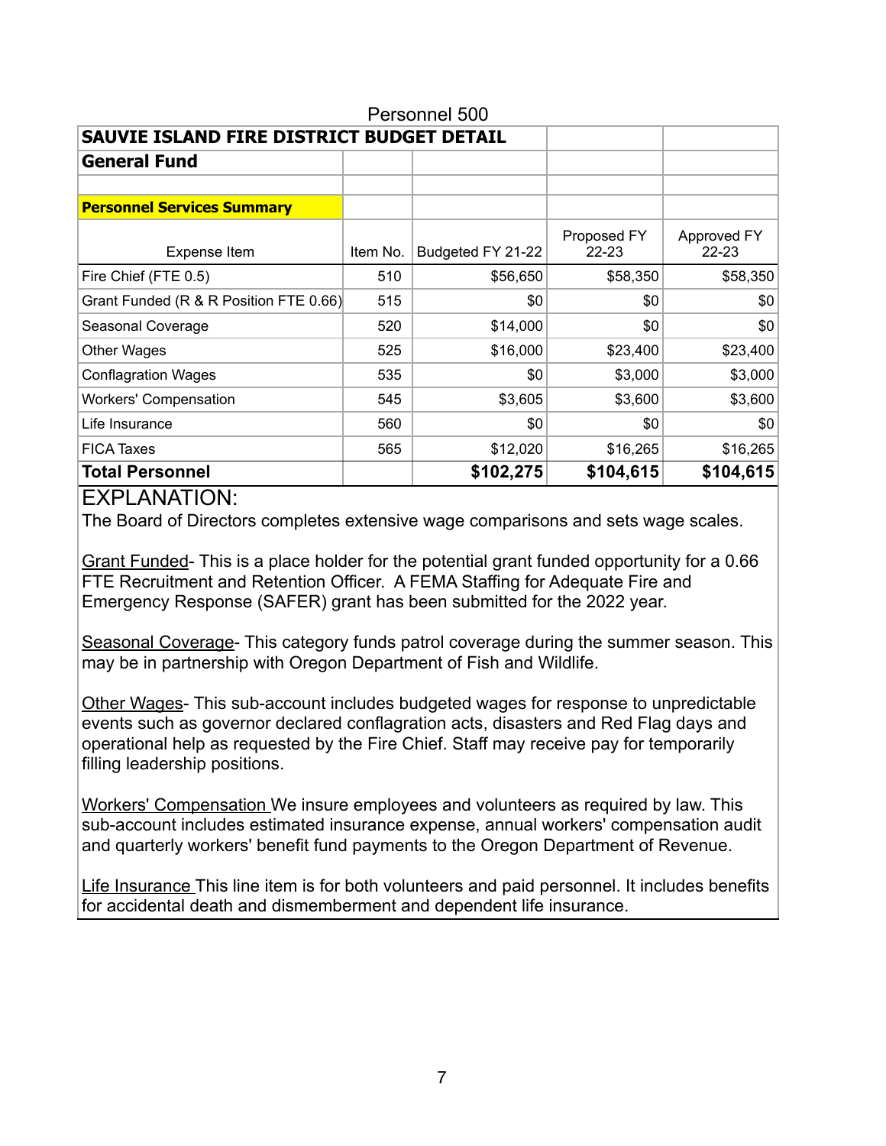| Personnel 500                             |          |                   |                          |                          |  |  |  |  |
|-------------------------------------------|----------|-------------------|--------------------------|--------------------------|--|--|--|--|
| SAUVIE ISLAND FIRE DISTRICT BUDGET DETAIL |          |                   |                          |                          |  |  |  |  |
| <b>General Fund</b>                       |          |                   |                          |                          |  |  |  |  |
|                                           |          |                   |                          |                          |  |  |  |  |
| <b>Personnel Services Summary</b>         |          |                   |                          |                          |  |  |  |  |
| Expense Item                              | Item No. | Budgeted FY 21-22 | Proposed FY<br>$22 - 23$ | Approved FY<br>$22 - 23$ |  |  |  |  |
| Fire Chief (FTE 0.5)                      | 510      | \$56,650          | \$58,350                 | \$58,350                 |  |  |  |  |
| Grant Funded (R & R Position FTE 0.66)    | 515      | \$0               | \$0                      | \$0                      |  |  |  |  |
| Seasonal Coverage                         | 520      | \$14,000          | \$0                      | \$0                      |  |  |  |  |
| <b>Other Wages</b>                        | 525      | \$16,000          | \$23,400                 | \$23,400                 |  |  |  |  |
| <b>Conflagration Wages</b>                | 535      | \$0               | \$3,000                  | \$3,000                  |  |  |  |  |
| <b>Workers' Compensation</b>              | 545      | \$3,605           | \$3,600                  | \$3,600                  |  |  |  |  |
| Life Insurance                            | 560      | \$0               | \$0                      | \$0                      |  |  |  |  |
| <b>FICA Taxes</b>                         | 565      | \$12,020          | \$16,265                 | \$16,265                 |  |  |  |  |
| <b>Total Personnel</b>                    |          | \$102,275         | \$104,615                | \$104,615                |  |  |  |  |

The Board of Directors completes extensive wage comparisons and sets wage scales.

Grant Funded- This is a place holder for the potential grant funded opportunity for a 0.66 FTE Recruitment and Retention Officer. A FEMA Staffing for Adequate Fire and Emergency Response (SAFER) grant has been submitted for the 2022 year.

Seasonal Coverage- This category funds patrol coverage during the summer season. This may be in partnership with Oregon Department of Fish and Wildlife.

Other Wages- This sub-account includes budgeted wages for response to unpredictable events such as governor declared conflagration acts, disasters and Red Flag days and operational help as requested by the Fire Chief. Staff may receive pay for temporarily filling leadership positions.

Workers' Compensation We insure employees and volunteers as required by law. This sub-account includes estimated insurance expense, annual workers' compensation audit and quarterly workers' benefit fund payments to the Oregon Department of Revenue.

Life Insurance This line item is for both volunteers and paid personnel. It includes benefits for accidental death and dismemberment and dependent life insurance.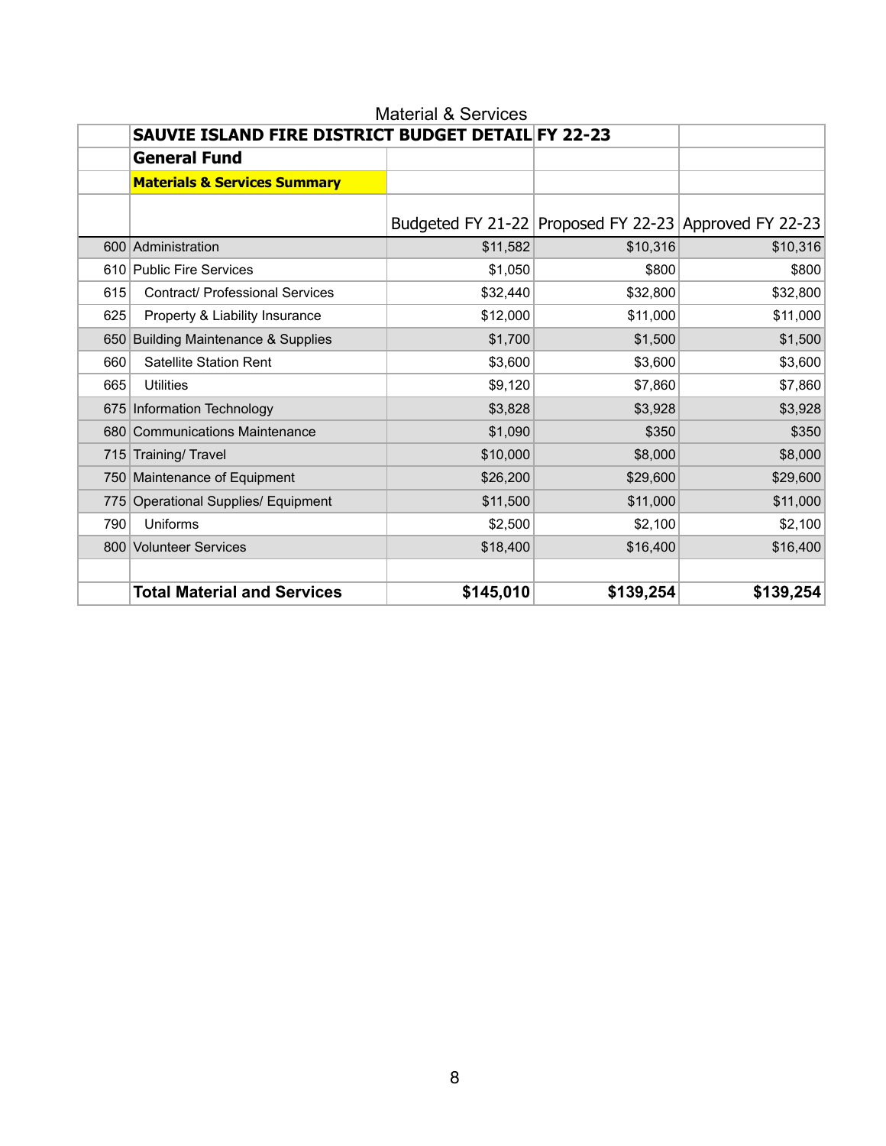|     | SAUVIE ISLAND FIRE DISTRICT BUDGET DETAIL FY 22-23 |           |           |                                                       |
|-----|----------------------------------------------------|-----------|-----------|-------------------------------------------------------|
|     | <b>General Fund</b>                                |           |           |                                                       |
|     | <b>Materials &amp; Services Summary</b>            |           |           |                                                       |
|     |                                                    |           |           | Budgeted FY 21-22 Proposed FY 22-23 Approved FY 22-23 |
|     | 600 Administration                                 | \$11,582  | \$10,316  | \$10,316                                              |
|     | 610 Public Fire Services                           | \$1,050   | \$800     | \$800                                                 |
| 615 | <b>Contract/ Professional Services</b>             | \$32,440  | \$32,800  | \$32,800                                              |
| 625 | Property & Liability Insurance                     | \$12,000  | \$11,000  | \$11,000                                              |
|     | 650 Building Maintenance & Supplies                | \$1,700   | \$1,500   | \$1,500                                               |
| 660 | Satellite Station Rent                             | \$3,600   | \$3,600   | \$3,600                                               |
| 665 | <b>Utilities</b>                                   | \$9,120   | \$7,860   | \$7,860                                               |
|     | 675 Information Technology                         | \$3,828   | \$3,928   | \$3,928                                               |
|     | 680 Communications Maintenance                     | \$1,090   | \$350     | \$350                                                 |
|     | 715 Training/ Travel                               | \$10,000  | \$8,000   | \$8,000                                               |
|     | 750 Maintenance of Equipment                       | \$26,200  | \$29,600  | \$29,600                                              |
|     | 775 Operational Supplies/ Equipment                | \$11,500  | \$11,000  | \$11,000                                              |
| 790 | Uniforms                                           | \$2,500   | \$2,100   | \$2,100                                               |
|     | 800 Volunteer Services                             | \$18,400  | \$16,400  | \$16,400                                              |
|     | <b>Total Material and Services</b>                 | \$145,010 | \$139,254 | \$139,254                                             |

# Material & Services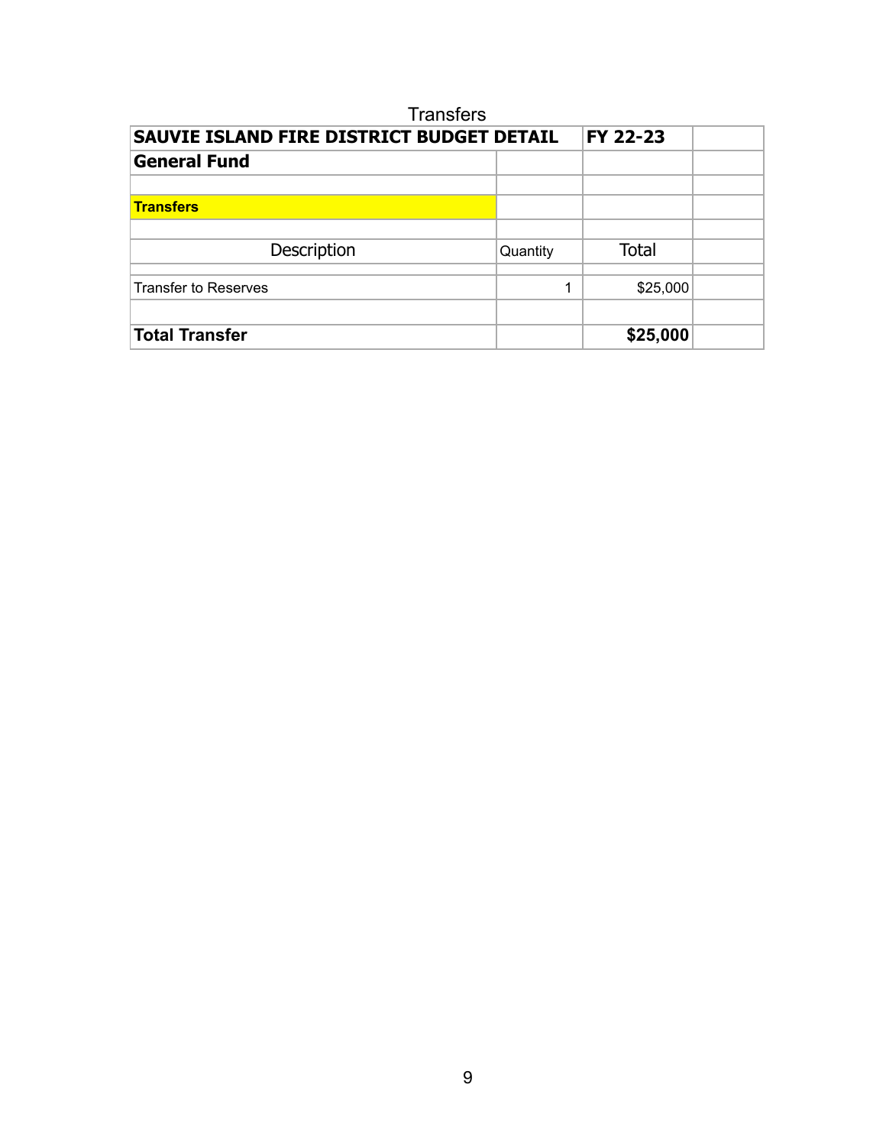| <b>Transfers</b>                                 |          |              |  |  |  |  |
|--------------------------------------------------|----------|--------------|--|--|--|--|
| <b>SAUVIE ISLAND FIRE DISTRICT BUDGET DETAIL</b> |          | FY 22-23     |  |  |  |  |
| <b>General Fund</b>                              |          |              |  |  |  |  |
|                                                  |          |              |  |  |  |  |
| <b>Transfers</b>                                 |          |              |  |  |  |  |
|                                                  |          |              |  |  |  |  |
| Description                                      | Quantity | <b>Total</b> |  |  |  |  |
|                                                  |          |              |  |  |  |  |
| Transfer to Reserves                             | 1        | \$25,000     |  |  |  |  |
|                                                  |          |              |  |  |  |  |
| <b>Total Transfer</b>                            |          | \$25,000     |  |  |  |  |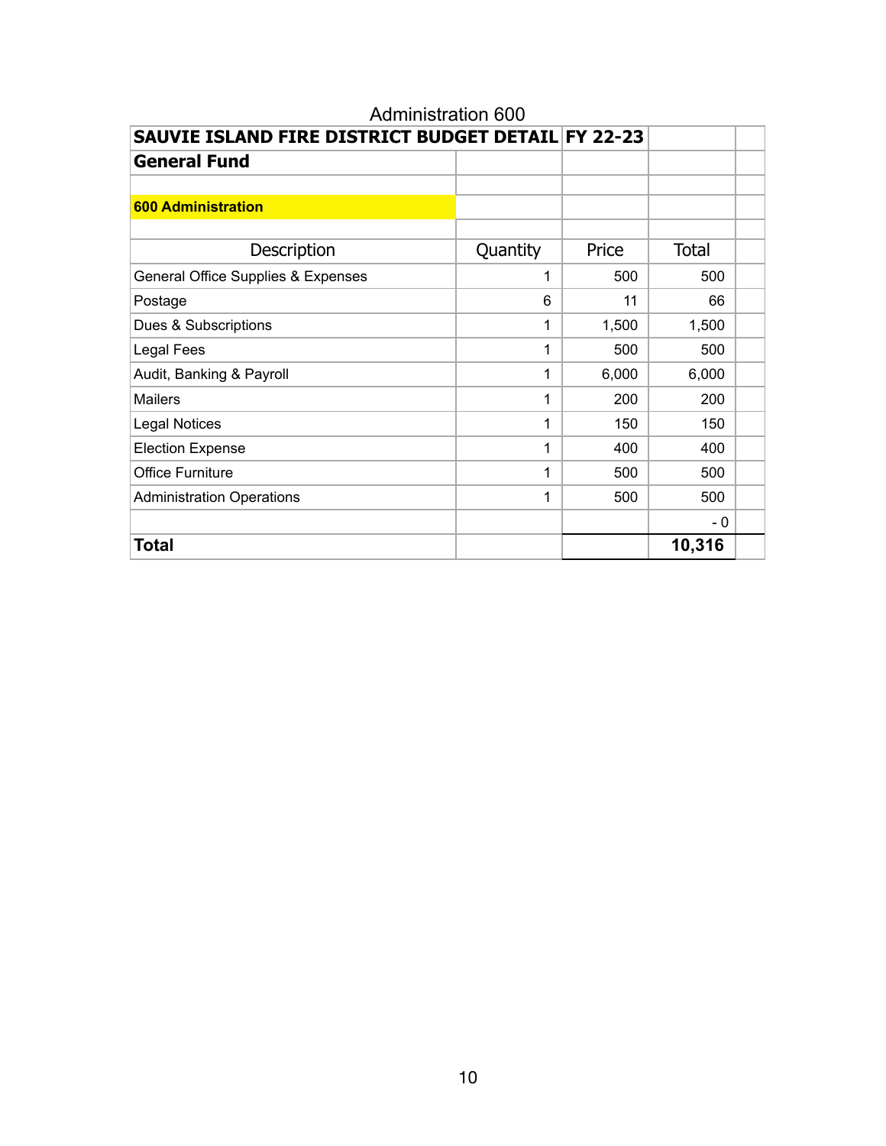|                                    | SAUVIE ISLAND FIRE DISTRICT BUDGET DETAIL FY 22-23 |       |              |  |  |  |  |
|------------------------------------|----------------------------------------------------|-------|--------------|--|--|--|--|
| <b>General Fund</b>                |                                                    |       |              |  |  |  |  |
|                                    |                                                    |       |              |  |  |  |  |
| <b>600 Administration</b>          |                                                    |       |              |  |  |  |  |
|                                    |                                                    |       |              |  |  |  |  |
| Description                        | Quantity                                           | Price | <b>Total</b> |  |  |  |  |
| General Office Supplies & Expenses | 1                                                  | 500   | 500          |  |  |  |  |
| Postage                            | 6                                                  | 11    | 66           |  |  |  |  |
| Dues & Subscriptions               | 1                                                  | 1,500 | 1,500        |  |  |  |  |
| Legal Fees                         | 1                                                  | 500   | 500          |  |  |  |  |
| Audit, Banking & Payroll           | 1                                                  | 6,000 | 6,000        |  |  |  |  |
| <b>Mailers</b>                     | 1                                                  | 200   | 200          |  |  |  |  |
| <b>Legal Notices</b>               | 1                                                  | 150   | 150          |  |  |  |  |
| <b>Election Expense</b>            | 1                                                  | 400   | 400          |  |  |  |  |
| <b>Office Furniture</b>            | 1                                                  | 500   | 500          |  |  |  |  |
| <b>Administration Operations</b>   | 1                                                  | 500   | 500          |  |  |  |  |
|                                    |                                                    |       | - 0          |  |  |  |  |
| <b>Total</b>                       |                                                    |       | 10,316       |  |  |  |  |

# Administration 600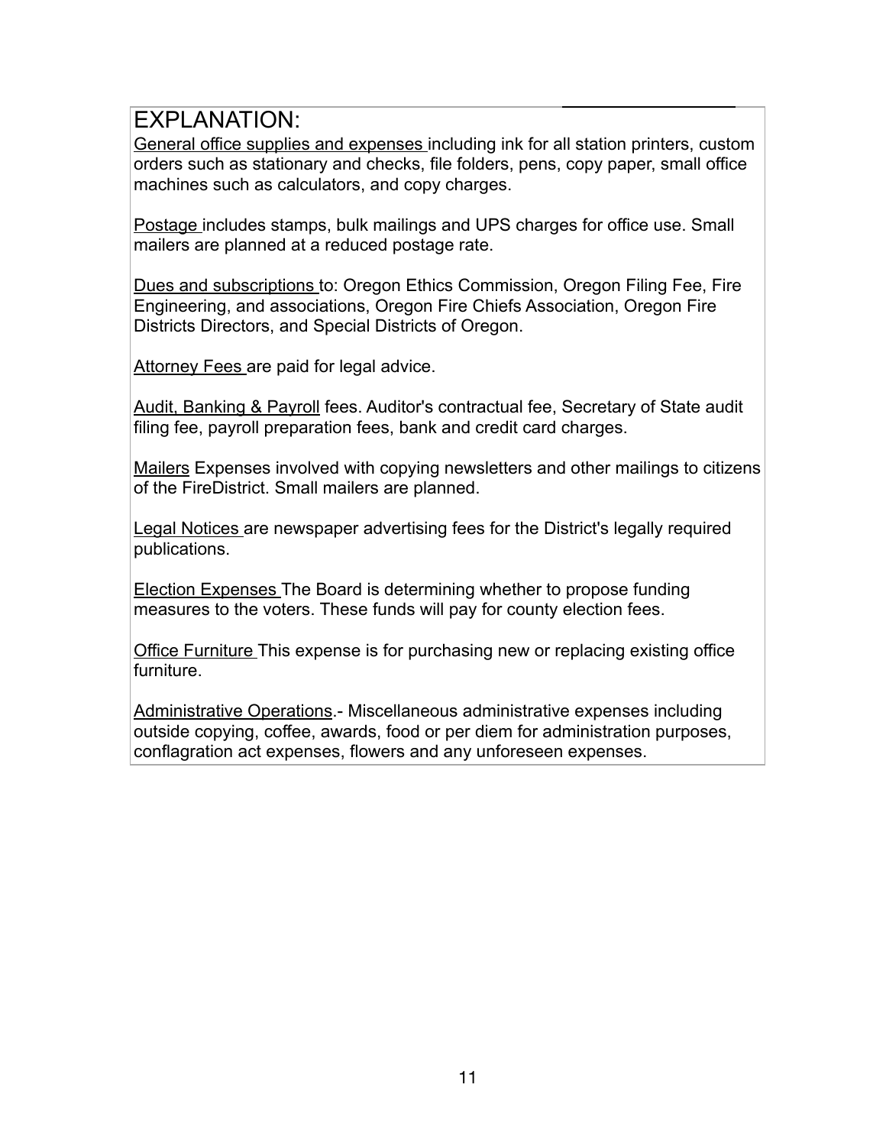General office supplies and expenses including ink for all station printers, custom orders such as stationary and checks, file folders, pens, copy paper, small office machines such as calculators, and copy charges.

Postage includes stamps, bulk mailings and UPS charges for office use. Small mailers are planned at a reduced postage rate.

Dues and subscriptions to: Oregon Ethics Commission, Oregon Filing Fee, Fire Engineering, and associations, Oregon Fire Chiefs Association, Oregon Fire Districts Directors, and Special Districts of Oregon.

Attorney Fees are paid for legal advice.

Audit, Banking & Payroll fees. Auditor's contractual fee, Secretary of State audit filing fee, payroll preparation fees, bank and credit card charges.

Mailers Expenses involved with copying newsletters and other mailings to citizens of the FireDistrict. Small mailers are planned.

Legal Notices are newspaper advertising fees for the District's legally required publications.

Election Expenses The Board is determining whether to propose funding measures to the voters. These funds will pay for county election fees.

**Office Furniture This expense is for purchasing new or replacing existing office** furniture.

Administrative Operations.- Miscellaneous administrative expenses including outside copying, coffee, awards, food or per diem for administration purposes, conflagration act expenses, flowers and any unforeseen expenses.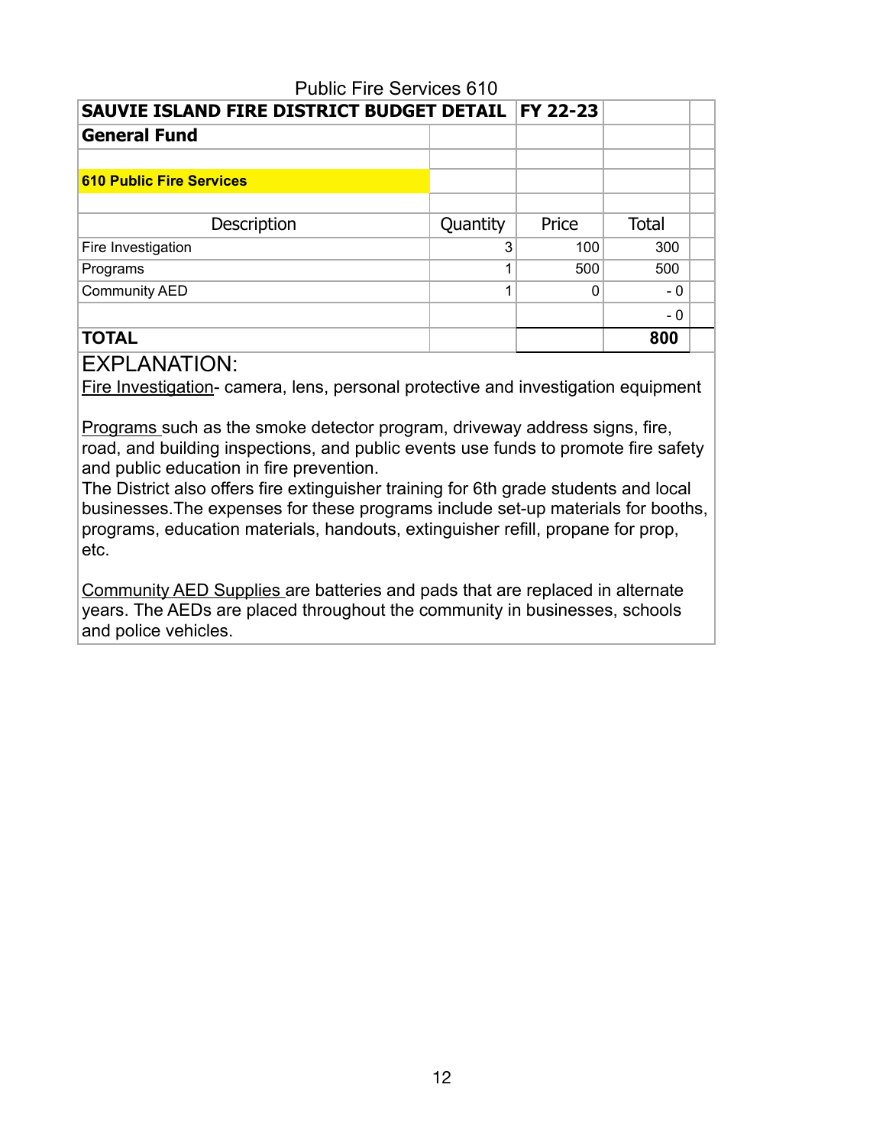| <b>Public Fire Services 610</b>                      |          |          |              |  |  |  |
|------------------------------------------------------|----------|----------|--------------|--|--|--|
| SAUVIE ISLAND FIRE DISTRICT BUDGET DETAIL   FY 22-23 |          |          |              |  |  |  |
| <b>General Fund</b>                                  |          |          |              |  |  |  |
|                                                      |          |          |              |  |  |  |
| <b>610 Public Fire Services</b>                      |          |          |              |  |  |  |
|                                                      |          |          |              |  |  |  |
| Description                                          | Quantity | Price    | <b>Total</b> |  |  |  |
| Fire Investigation                                   | 3        | 100      | 300          |  |  |  |
| Programs                                             | ◢        | 500      | 500          |  |  |  |
| <b>Community AED</b>                                 |          | $\Omega$ | - 0          |  |  |  |
|                                                      |          |          | - 0          |  |  |  |
| <b>TOTAL</b>                                         |          |          | 800          |  |  |  |

Fire Investigation- camera, lens, personal protective and investigation equipment

Programs such as the smoke detector program, driveway address signs, fire, road, and building inspections, and public events use funds to promote fire safety and public education in fire prevention.

The District also offers fire extinguisher training for 6th grade students and local businesses.The expenses for these programs include set-up materials for booths, programs, education materials, handouts, extinguisher refill, propane for prop, etc.

Community AED Supplies are batteries and pads that are replaced in alternate years. The AEDs are placed throughout the community in businesses, schools and police vehicles.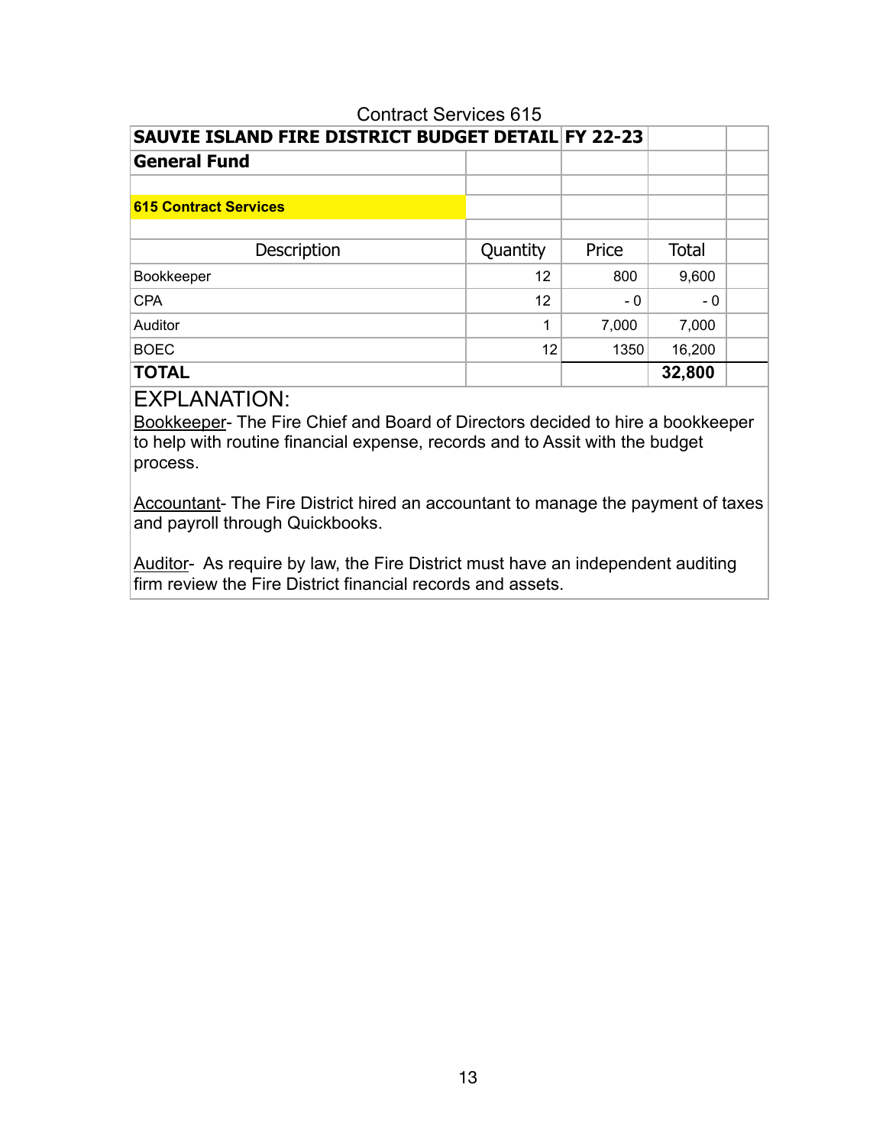| <b>Contract Services 615</b>                       |          |       |              |  |  |  |  |
|----------------------------------------------------|----------|-------|--------------|--|--|--|--|
| SAUVIE ISLAND FIRE DISTRICT BUDGET DETAIL FY 22-23 |          |       |              |  |  |  |  |
| <b>General Fund</b>                                |          |       |              |  |  |  |  |
|                                                    |          |       |              |  |  |  |  |
| <b>615 Contract Services</b>                       |          |       |              |  |  |  |  |
|                                                    |          |       |              |  |  |  |  |
| Description                                        | Quantity | Price | <b>Total</b> |  |  |  |  |
| Bookkeeper                                         | 12       | 800   | 9,600        |  |  |  |  |
| <b>CPA</b>                                         | 12       | - 0   | - 0          |  |  |  |  |
| Auditor                                            | 1        | 7,000 | 7,000        |  |  |  |  |
| <b>BOEC</b>                                        | 12       | 1350  | 16,200       |  |  |  |  |
| <b>TOTAL</b>                                       |          |       | 32,800       |  |  |  |  |

Bookkeeper- The Fire Chief and Board of Directors decided to hire a bookkeeper to help with routine financial expense, records and to Assit with the budget process.

Accountant- The Fire District hired an accountant to manage the payment of taxes and payroll through Quickbooks.

Auditor- As require by law, the Fire District must have an independent auditing firm review the Fire District financial records and assets.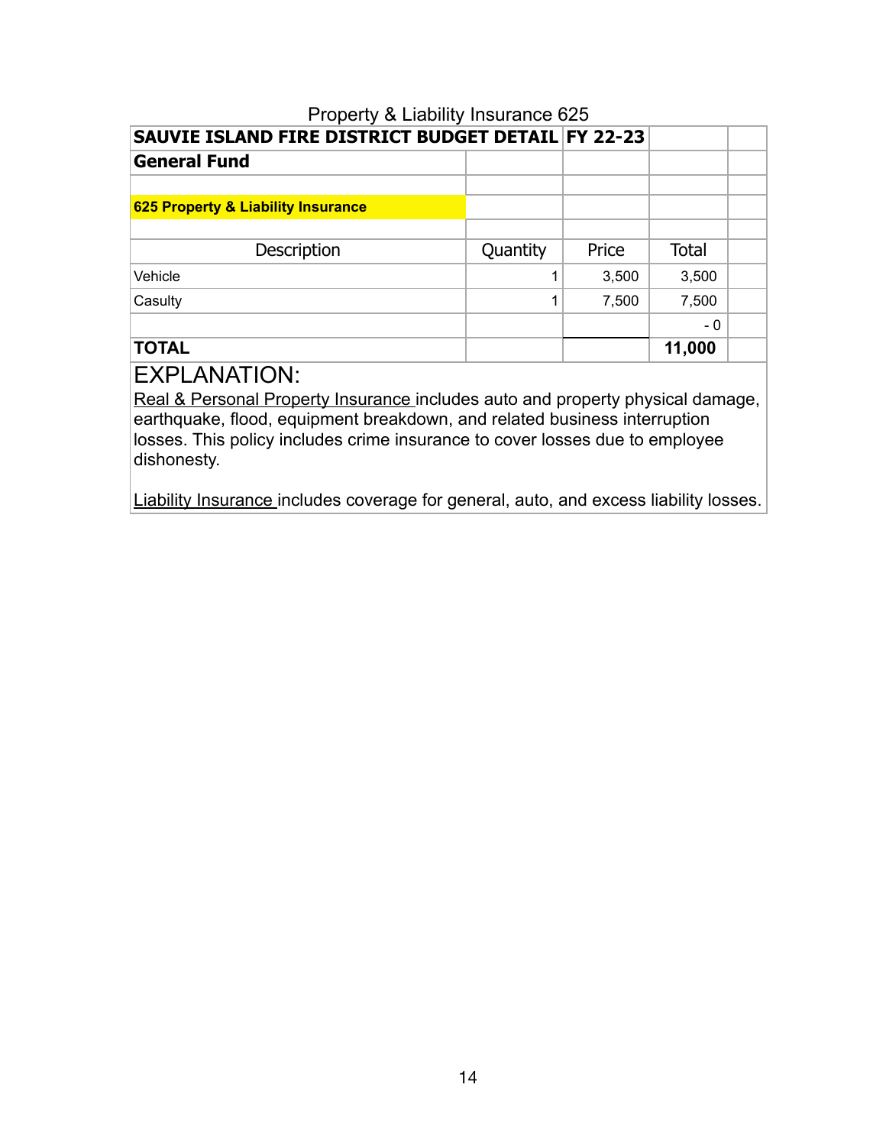# Property & Liability Insurance 625 **SAUVIE ISLAND FIRE DISTRICT BUDGET DETAIL FY 22-23 General Fund 625 Property & Liability Insurance** Description Quantity Price Total  $\text{Vehicle} \quad \text{3,500} \quad \text{3,500}$  $\begin{array}{|c|c|c|c|c|c|}\n \hline\n \text{Casulty} & & & & 1 & 7,500 & 7,500 \\
\hline\n \end{array}$ - 0

#### **TOTAL 11,000**

## EXPLANATION:

Real & Personal Property Insurance includes auto and property physical damage, earthquake, flood, equipment breakdown, and related business interruption losses. This policy includes crime insurance to cover losses due to employee dishonesty.

Liability Insurance includes coverage for general, auto, and excess liability losses.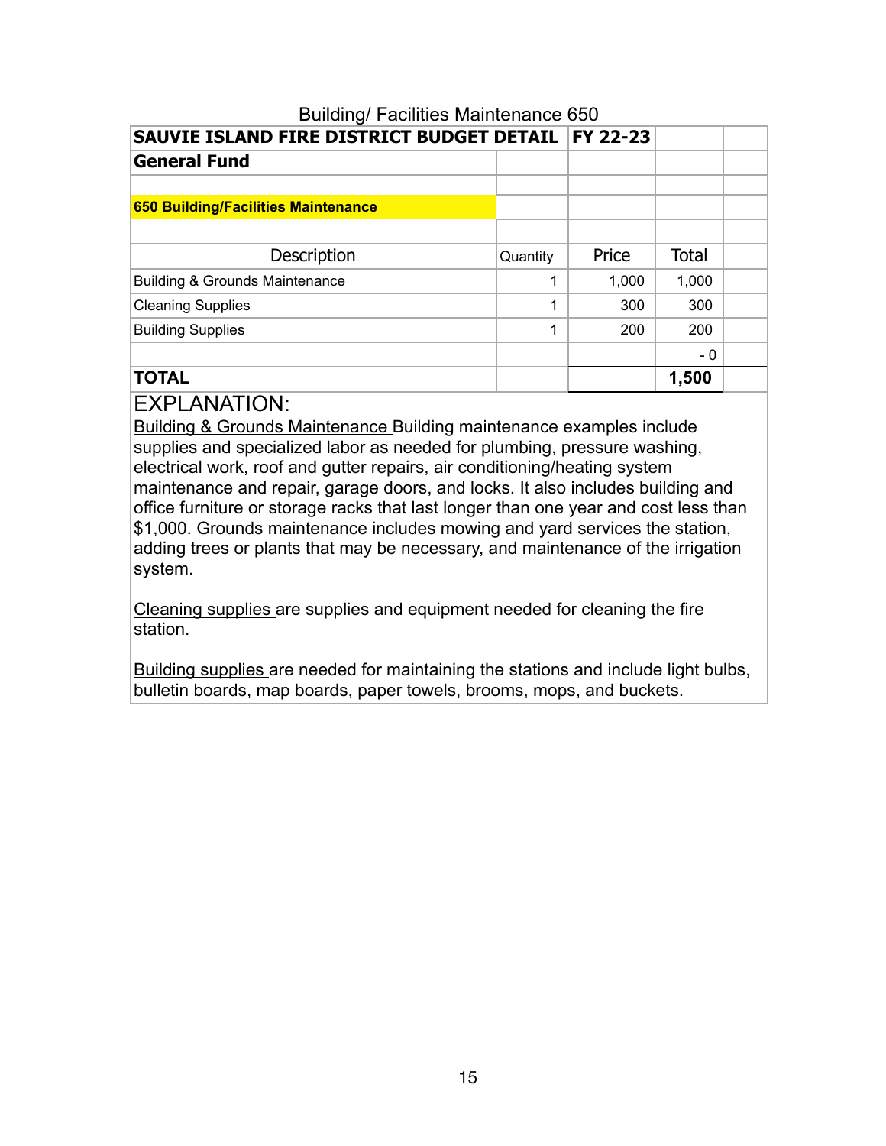| <b>Dununly I admired Manrieriance 000</b>  | SAUVIE ISLAND FIRE DISTRICT BUDGET DETAIL   FY 22-23 |       |       |  |  |  |  |  |
|--------------------------------------------|------------------------------------------------------|-------|-------|--|--|--|--|--|
|                                            |                                                      |       |       |  |  |  |  |  |
| <b>General Fund</b>                        |                                                      |       |       |  |  |  |  |  |
|                                            |                                                      |       |       |  |  |  |  |  |
| <b>650 Building/Facilities Maintenance</b> |                                                      |       |       |  |  |  |  |  |
|                                            |                                                      |       |       |  |  |  |  |  |
| Description                                | Quantity                                             | Price | Total |  |  |  |  |  |
| <b>Building &amp; Grounds Maintenance</b>  |                                                      | 1,000 | 1,000 |  |  |  |  |  |
| <b>Cleaning Supplies</b>                   | 1                                                    | 300   | 300   |  |  |  |  |  |
| <b>Building Supplies</b>                   | 1                                                    | 200   | 200   |  |  |  |  |  |
|                                            |                                                      |       | - 0   |  |  |  |  |  |
| <b>TOTAL</b>                               |                                                      |       | 1,500 |  |  |  |  |  |

# Building/ Facilities Maintenance 650

# EXPLANATION:

Building & Grounds Maintenance Building maintenance examples include supplies and specialized labor as needed for plumbing, pressure washing, electrical work, roof and gutter repairs, air conditioning/heating system maintenance and repair, garage doors, and locks. It also includes building and office furniture or storage racks that last longer than one year and cost less than \$1,000. Grounds maintenance includes mowing and yard services the station, adding trees or plants that may be necessary, and maintenance of the irrigation system.

Cleaning supplies are supplies and equipment needed for cleaning the fire station.

Building supplies are needed for maintaining the stations and include light bulbs, bulletin boards, map boards, paper towels, brooms, mops, and buckets.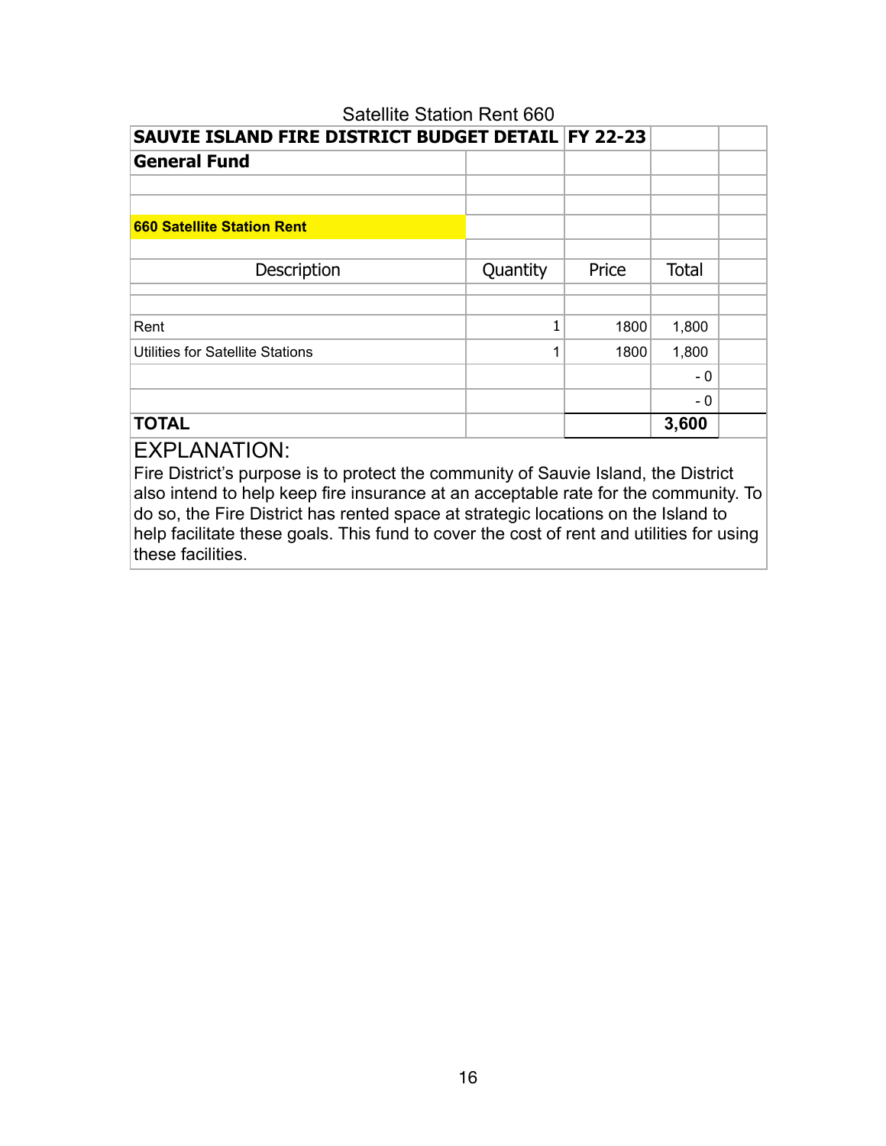| Satellite Station Rent 660                           |          |       |              |  |
|------------------------------------------------------|----------|-------|--------------|--|
| SAUVIE ISLAND FIRE DISTRICT BUDGET DETAIL   FY 22-23 |          |       |              |  |
| <b>General Fund</b>                                  |          |       |              |  |
|                                                      |          |       |              |  |
|                                                      |          |       |              |  |
| <b>660 Satellite Station Rent</b>                    |          |       |              |  |
|                                                      |          |       |              |  |
| Description                                          | Quantity | Price | <b>Total</b> |  |
|                                                      |          |       |              |  |
| Rent                                                 | 1        | 1800  | 1,800        |  |
| Utilities for Satellite Stations                     | 1        | 1800  | 1,800        |  |
|                                                      |          |       | - 0          |  |
|                                                      |          |       | - 0          |  |
| <b>TOTAL</b>                                         |          |       | 3,600        |  |

Fire District's purpose is to protect the community of Sauvie Island, the District also intend to help keep fire insurance at an acceptable rate for the community. To do so, the Fire District has rented space at strategic locations on the Island to help facilitate these goals. This fund to cover the cost of rent and utilities for using these facilities.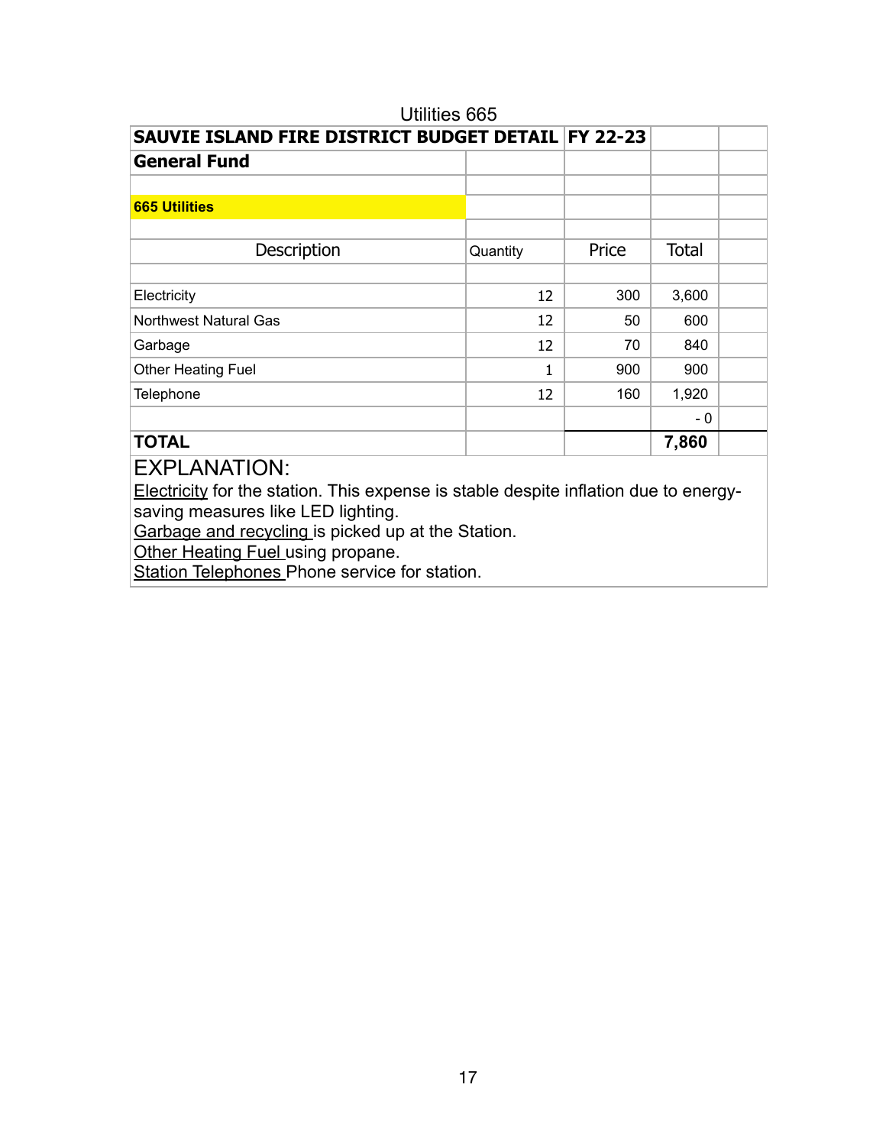| Utilities 665                                      |          |       |              |  |
|----------------------------------------------------|----------|-------|--------------|--|
| SAUVIE ISLAND FIRE DISTRICT BUDGET DETAIL FY 22-23 |          |       |              |  |
| <b>General Fund</b>                                |          |       |              |  |
|                                                    |          |       |              |  |
| <b>665 Utilities</b>                               |          |       |              |  |
|                                                    |          |       |              |  |
| Description                                        | Quantity | Price | <b>Total</b> |  |
|                                                    |          |       |              |  |
| Electricity                                        | 12       | 300   | 3,600        |  |
| <b>Northwest Natural Gas</b>                       | 12       | 50    | 600          |  |
| Garbage                                            | 12       | 70    | 840          |  |
| Other Heating Fuel                                 | 1        | 900   | 900          |  |
| Telephone                                          | 12       | 160   | 1,920        |  |
|                                                    |          |       | $-0$         |  |
| <b>TOTAL</b>                                       |          |       | 7,860        |  |

Electricity for the station. This expense is stable despite inflation due to energysaving measures like LED lighting.

Garbage and recycling is picked up at the Station.

Other Heating Fuel using propane.

Station Telephones Phone service for station.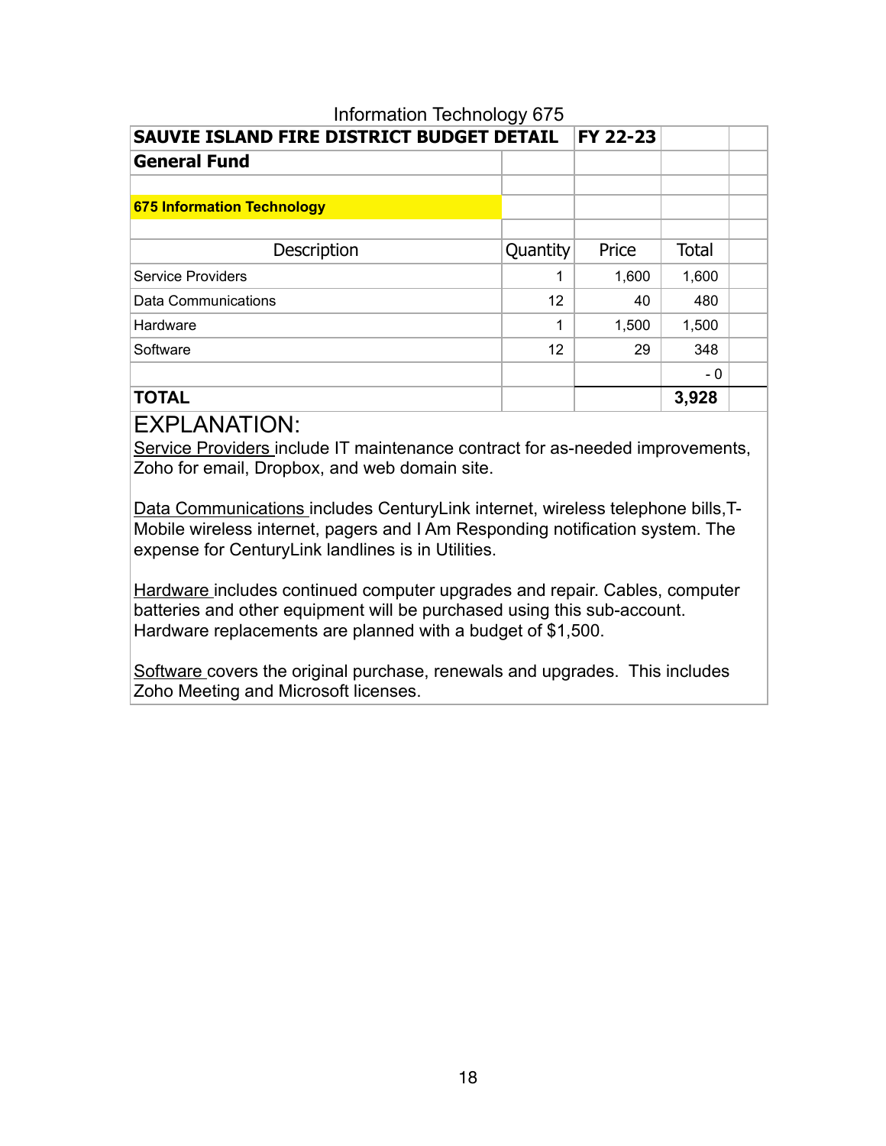| Information Technology 675                |          |          |              |  |
|-------------------------------------------|----------|----------|--------------|--|
| SAUVIE ISLAND FIRE DISTRICT BUDGET DETAIL |          | FY 22-23 |              |  |
| <b>General Fund</b>                       |          |          |              |  |
|                                           |          |          |              |  |
| <b>675 Information Technology</b>         |          |          |              |  |
|                                           |          |          |              |  |
| Description                               | Quantity | Price    | <b>Total</b> |  |
| <b>Service Providers</b>                  | 1        | 1,600    | 1,600        |  |
| Data Communications                       | 12       | 40       | 480          |  |
| Hardware                                  | 1        | 1,500    | 1,500        |  |
| Software                                  | 12       | 29       | 348          |  |
|                                           |          |          | - 0          |  |
| <b>TOTAL</b>                              |          |          | 3,928        |  |

Service Providers include IT maintenance contract for as-needed improvements, Zoho for email, Dropbox, and web domain site.

Data Communications includes CenturyLink internet, wireless telephone bills,T-Mobile wireless internet, pagers and I Am Responding notification system. The expense for CenturyLink landlines is in Utilities.

Hardware includes continued computer upgrades and repair. Cables, computer batteries and other equipment will be purchased using this sub-account. Hardware replacements are planned with a budget of \$1,500.

Software covers the original purchase, renewals and upgrades. This includes Zoho Meeting and Microsoft licenses.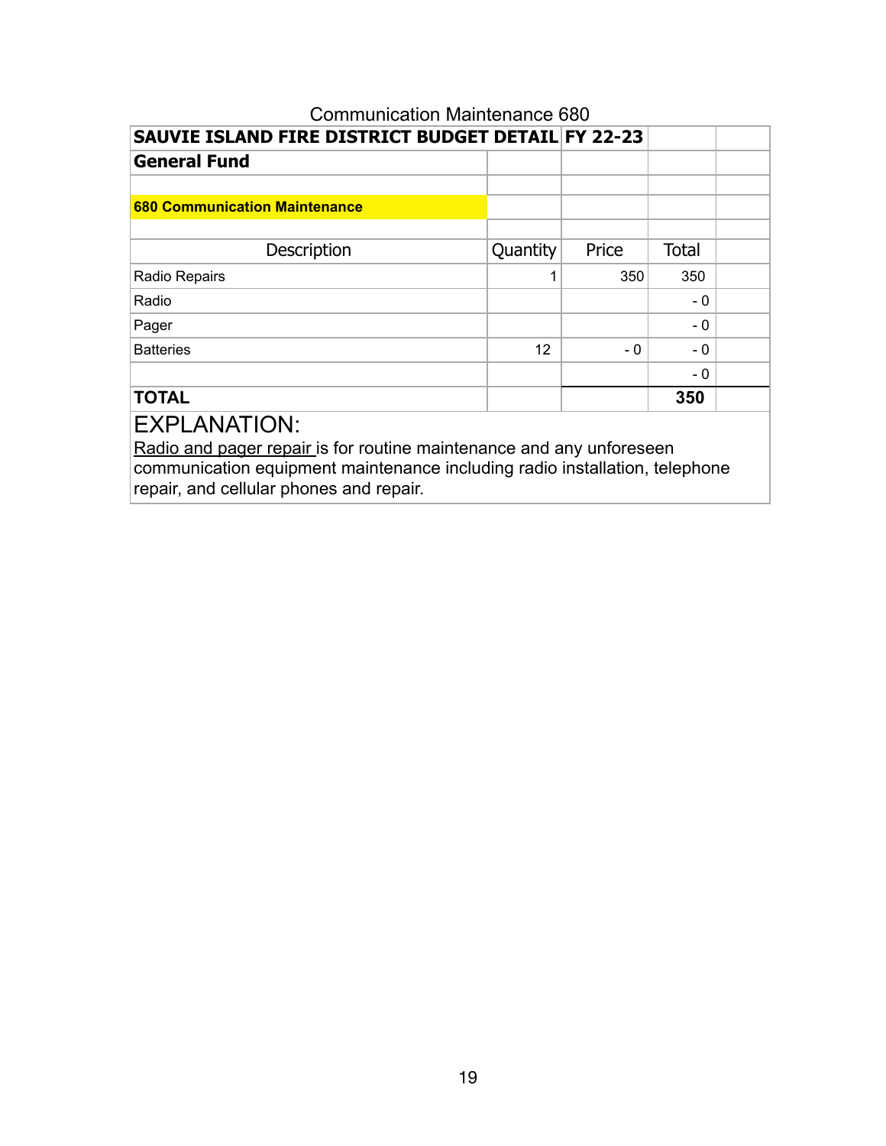# Communication Maintenance 680 **SAUVIE ISLAND FIRE DISTRICT BUDGET DETAIL FY 22-23 General Fund 680 Communication Maintenance** Description Quantity Price Total Radio Repairs **1** 350 350 Radio - 0 Pager - 2008 - 2009 - 2009 - 2009 - 2009 - 2009 - 2009 - 2009 - 2009 - 2009 - 2009 - 2009 - 2009 - 2009 - 200 Batteries  $\begin{array}{|c|c|c|c|c|c|}\n\hline\n& & & & & & 12 & & -0 & -0\n\end{array}$ - 0 **TOTAL 350**  EXPLANATION: Radio and pager repair is for routine maintenance and any unforeseen communication equipment maintenance including radio installation, telephone

repair, and cellular phones and repair.

## 19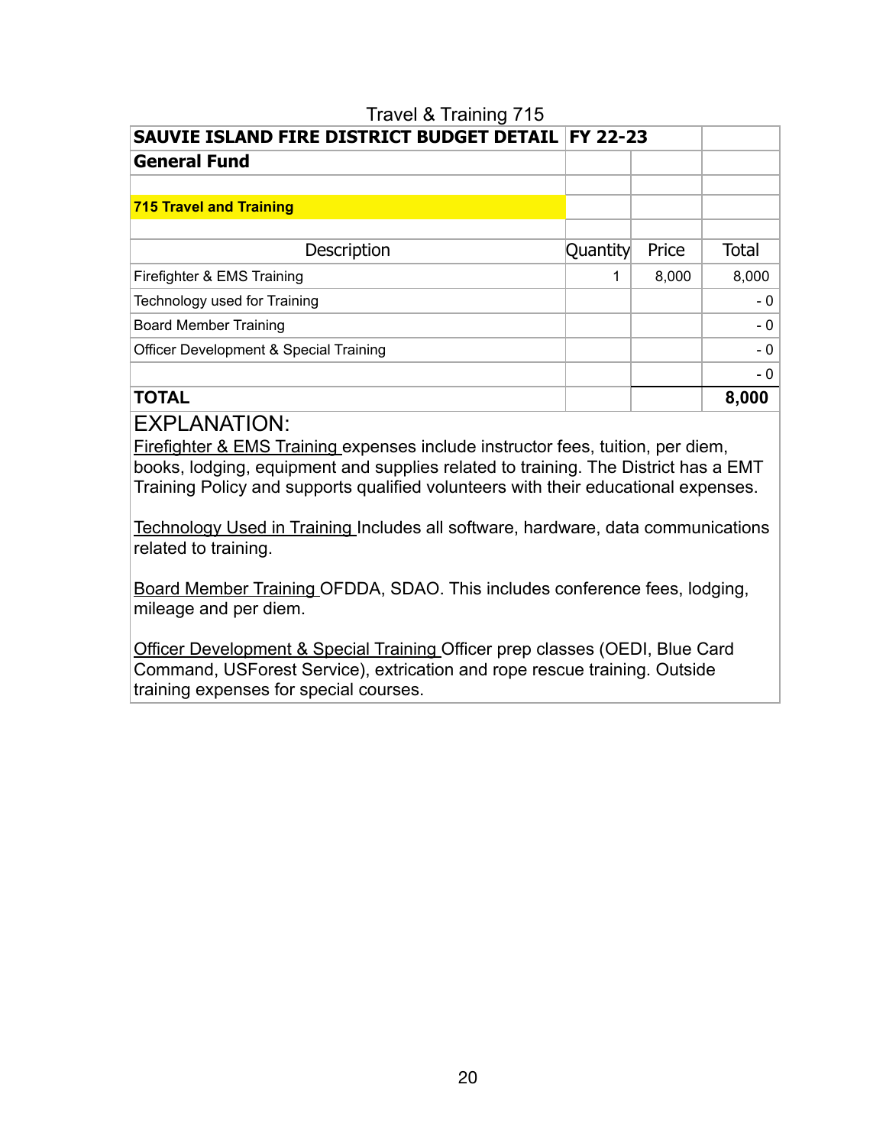# Travel & Training 715 **SAUVIE ISLAND FIRE DISTRICT BUDGET DETAIL FY 22-23 General Fund 715 Travel and Training** Description **Quantity** Price Total Firefighter & EMS Training  $\begin{array}{|c|c|c|c|c|c|c|c|c|} \hline \end{array}$  1 8,000 8,000 Technology used for Training  $\qquad \qquad \qquad$  0 Board Member Training and the control of the control of the control of the control of the control of the control of the control of the control of the control of the control of the control of the control of the control of t Officer Development & Special Training and a state of the state of the state of the state of the state of the state of the state of the state of the state of the state of the state of the state of the state of the state of - 0 **TOTAL 8,000**

EXPLANATION:

Firefighter & EMS Training expenses include instructor fees, tuition, per diem, books, lodging, equipment and supplies related to training. The District has a EMT Training Policy and supports qualified volunteers with their educational expenses.

Technology Used in Training Includes all software, hardware, data communications related to training.

Board Member Training OFDDA, SDAO. This includes conference fees, lodging, mileage and per diem.

Officer Development & Special Training Officer prep classes (OEDI, Blue Card Command, USForest Service), extrication and rope rescue training. Outside training expenses for special courses.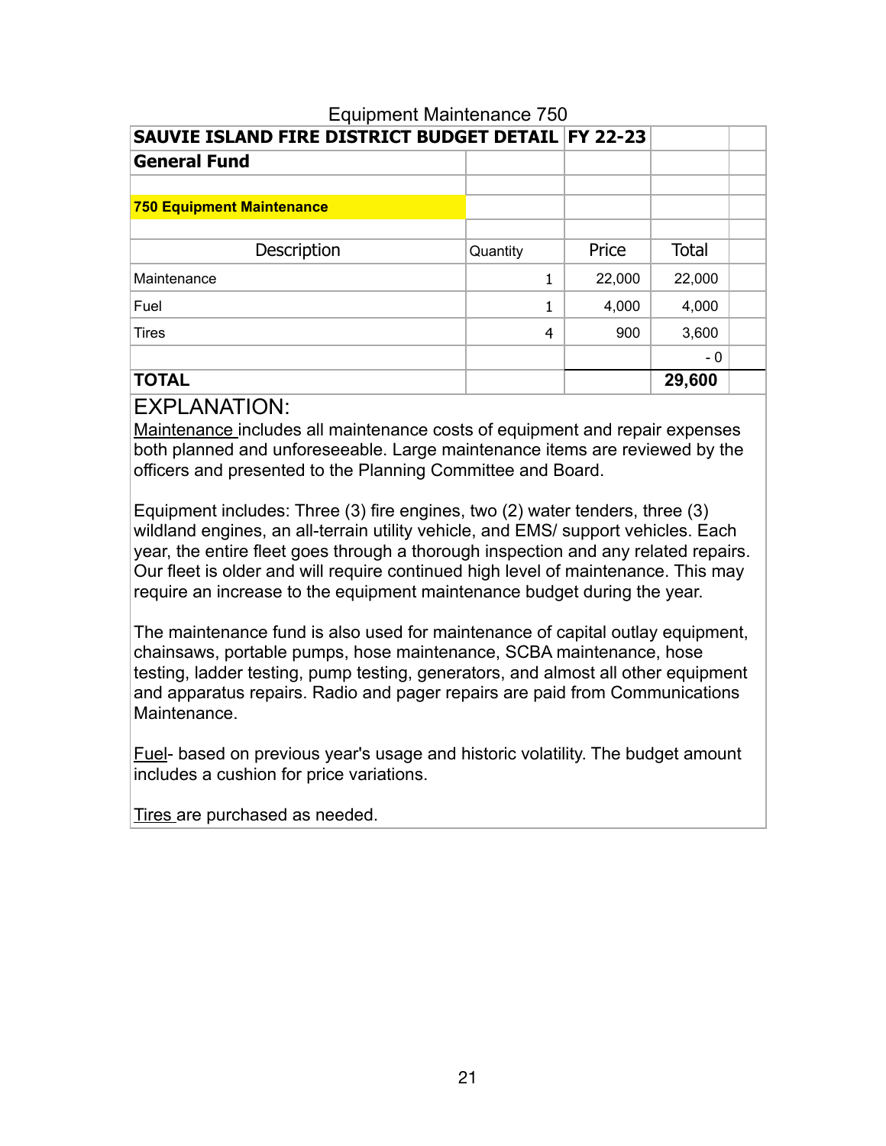| Equipment Maintenance 750                          |                |        |              |  |
|----------------------------------------------------|----------------|--------|--------------|--|
| SAUVIE ISLAND FIRE DISTRICT BUDGET DETAIL FY 22-23 |                |        |              |  |
| <b>General Fund</b>                                |                |        |              |  |
|                                                    |                |        |              |  |
| <b>750 Equipment Maintenance</b>                   |                |        |              |  |
|                                                    |                |        |              |  |
| Description                                        | Quantity       | Price  | <b>Total</b> |  |
| Maintenance                                        | 1              | 22,000 | 22,000       |  |
| Fuel                                               | 1              | 4,000  | 4,000        |  |
| <b>Tires</b>                                       | $\overline{4}$ | 900    | 3,600        |  |
|                                                    |                |        | - 0          |  |
| <b>TOTAL</b>                                       |                |        | 29,600       |  |

## Equipment Maintenance 750

### EXPLANATION:

Maintenance includes all maintenance costs of equipment and repair expenses both planned and unforeseeable. Large maintenance items are reviewed by the officers and presented to the Planning Committee and Board.

Equipment includes: Three (3) fire engines, two (2) water tenders, three (3) wildland engines, an all-terrain utility vehicle, and EMS/ support vehicles. Each year, the entire fleet goes through a thorough inspection and any related repairs. Our fleet is older and will require continued high level of maintenance. This may require an increase to the equipment maintenance budget during the year.

The maintenance fund is also used for maintenance of capital outlay equipment, chainsaws, portable pumps, hose maintenance, SCBA maintenance, hose testing, ladder testing, pump testing, generators, and almost all other equipment and apparatus repairs. Radio and pager repairs are paid from Communications Maintenance.

Fuel- based on previous year's usage and historic volatility. The budget amount includes a cushion for price variations.

Tires are purchased as needed.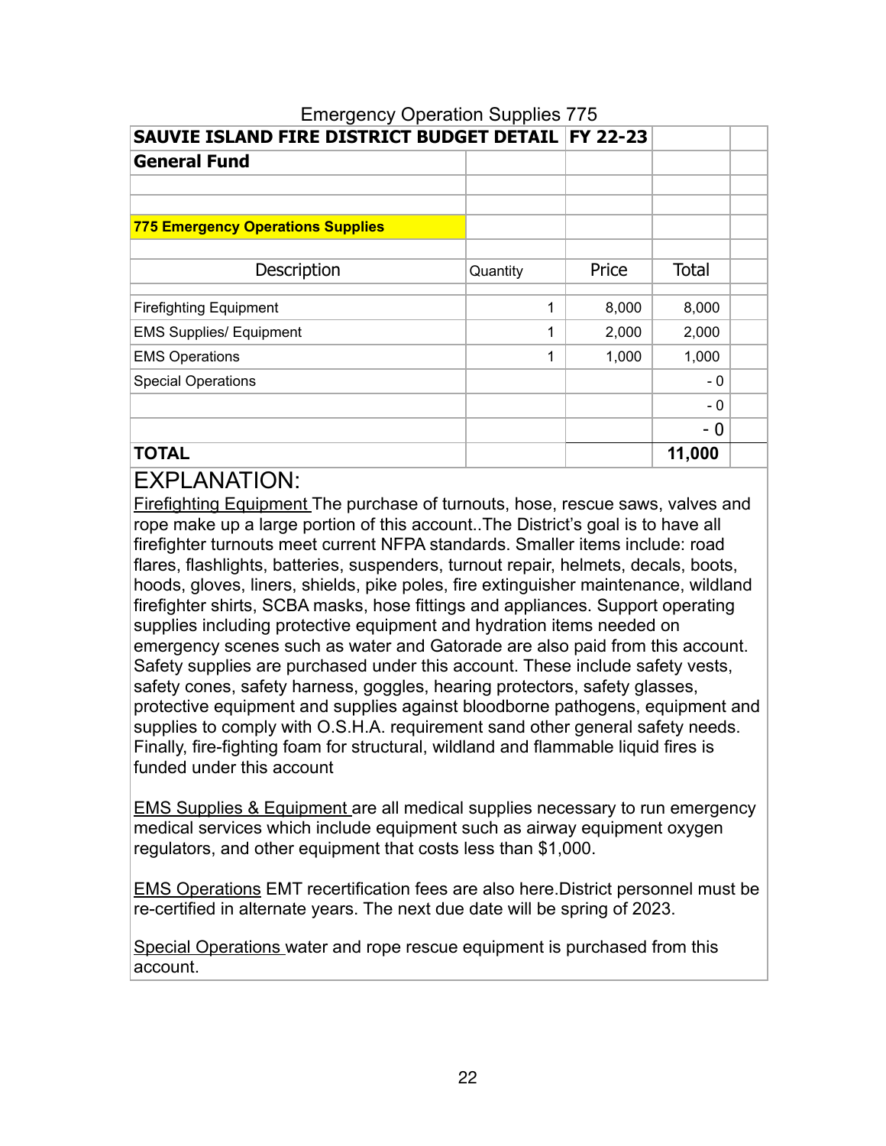| SAUVIE ISLAND FIRE DISTRICT BUDGET DETAIL   FY 22-23 |          |       |              |  |
|------------------------------------------------------|----------|-------|--------------|--|
| <b>General Fund</b>                                  |          |       |              |  |
|                                                      |          |       |              |  |
|                                                      |          |       |              |  |
| <b>775 Emergency Operations Supplies</b>             |          |       |              |  |
|                                                      |          |       |              |  |
| Description                                          | Quantity | Price | <b>Total</b> |  |
|                                                      |          |       |              |  |
| <b>Firefighting Equipment</b>                        | 1        | 8,000 | 8,000        |  |
| <b>EMS Supplies/ Equipment</b>                       | 1        | 2,000 | 2,000        |  |
| <b>EMS Operations</b>                                | 1        | 1,000 | 1,000        |  |
| <b>Special Operations</b>                            |          |       | $-0$         |  |
|                                                      |          |       | - 0          |  |
|                                                      |          |       | - 0          |  |
| <b>TOTAL</b>                                         |          |       | 11,000       |  |

# Emergency Operation Supplies 775

# EXPLANATION:

Firefighting Equipment The purchase of turnouts, hose, rescue saws, valves and rope make up a large portion of this account..The District's goal is to have all firefighter turnouts meet current NFPA standards. Smaller items include: road flares, flashlights, batteries, suspenders, turnout repair, helmets, decals, boots, hoods, gloves, liners, shields, pike poles, fire extinguisher maintenance, wildland firefighter shirts, SCBA masks, hose fittings and appliances. Support operating supplies including protective equipment and hydration items needed on emergency scenes such as water and Gatorade are also paid from this account. Safety supplies are purchased under this account. These include safety vests, safety cones, safety harness, goggles, hearing protectors, safety glasses, protective equipment and supplies against bloodborne pathogens, equipment and supplies to comply with O.S.H.A. requirement sand other general safety needs. Finally, fire-fighting foam for structural, wildland and flammable liquid fires is funded under this account

EMS Supplies & Equipment are all medical supplies necessary to run emergency medical services which include equipment such as airway equipment oxygen regulators, and other equipment that costs less than \$1,000.

EMS Operations EMT recertification fees are also here.District personnel must be re-certified in alternate years. The next due date will be spring of 2023.

Special Operations water and rope rescue equipment is purchased from this account.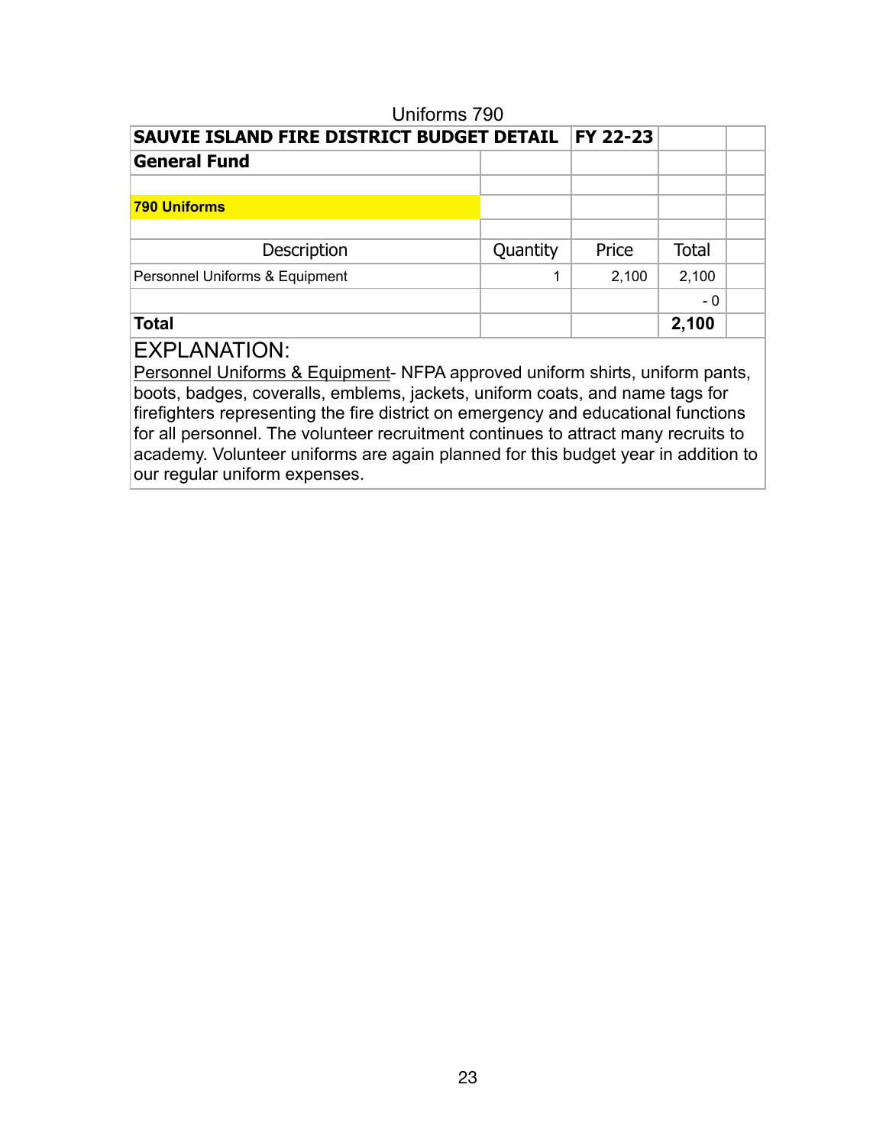| טט ו טוווטוווט                            |          |                 |              |  |
|-------------------------------------------|----------|-----------------|--------------|--|
| SAUVIE ISLAND FIRE DISTRICT BUDGET DETAIL |          | <b>FY 22-23</b> |              |  |
| <b>General Fund</b>                       |          |                 |              |  |
|                                           |          |                 |              |  |
| <b>790 Uniforms</b>                       |          |                 |              |  |
|                                           |          |                 |              |  |
| Description                               | Quantity | Price           | <b>Total</b> |  |
| Personnel Uniforms & Equipment            | 1        | 2,100           | 2,100        |  |
|                                           |          |                 | - 0          |  |
| <b>Total</b>                              |          |                 | 2,100        |  |
|                                           |          |                 |              |  |

Uniforms 790

## EXPLANATION:

Personnel Uniforms & Equipment- NFPA approved uniform shirts, uniform pants, boots, badges, coveralls, emblems, jackets, uniform coats, and name tags for firefighters representing the fire district on emergency and educational functions for all personnel. The volunteer recruitment continues to attract many recruits to academy. Volunteer uniforms are again planned for this budget year in addition to our regular uniform expenses.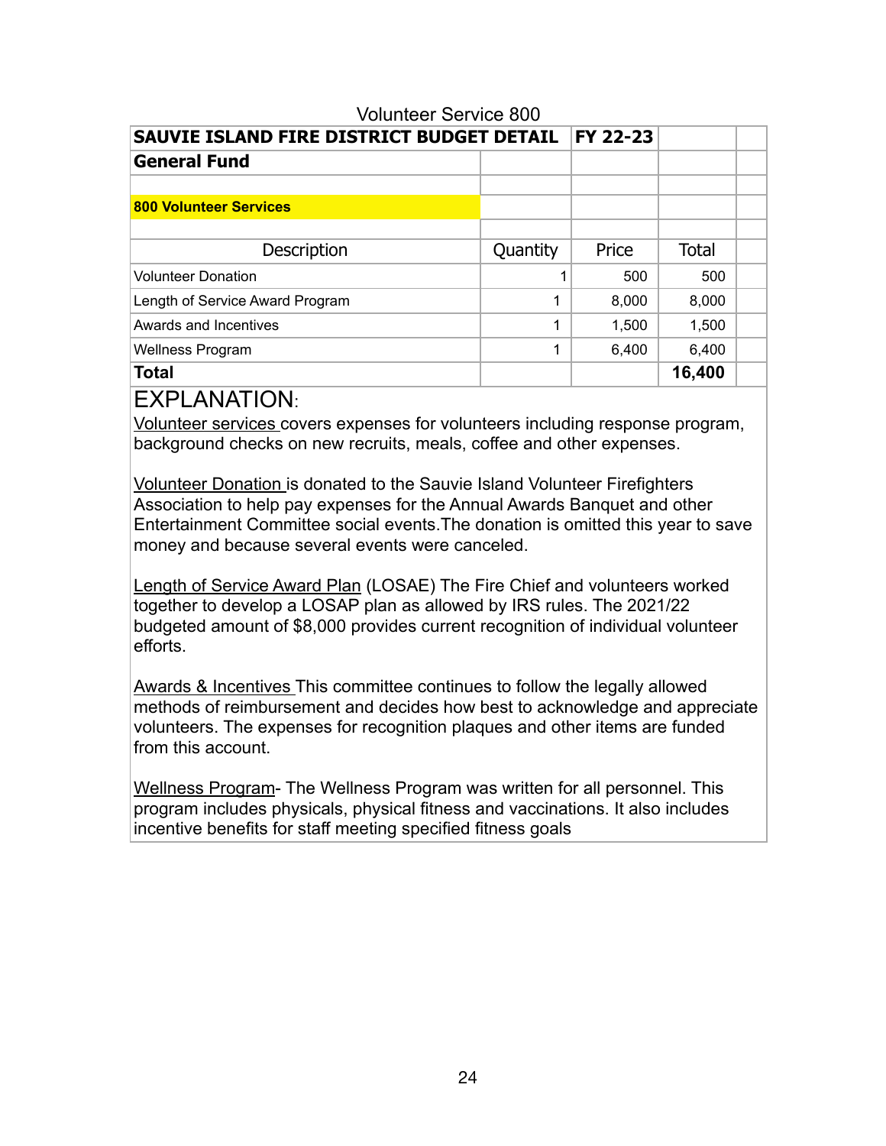| <b>Volunteer Service 800</b>              |          |          |              |  |
|-------------------------------------------|----------|----------|--------------|--|
| SAUVIE ISLAND FIRE DISTRICT BUDGET DETAIL |          | FY 22-23 |              |  |
| <b>General Fund</b>                       |          |          |              |  |
|                                           |          |          |              |  |
| <b>800 Volunteer Services</b>             |          |          |              |  |
|                                           |          |          |              |  |
| Description                               | Quantity | Price    | <b>Total</b> |  |
| <b>Volunteer Donation</b>                 |          | 500      | 500          |  |
| Length of Service Award Program           | 1        | 8,000    | 8,000        |  |
| Awards and Incentives                     | 1        | 1,500    | 1,500        |  |
| <b>Wellness Program</b>                   | 1        | 6,400    | 6,400        |  |
| <b>Total</b>                              |          |          | 16,400       |  |

Volunteer services covers expenses for volunteers including response program, background checks on new recruits, meals, coffee and other expenses.

Volunteer Donation is donated to the Sauvie Island Volunteer Firefighters Association to help pay expenses for the Annual Awards Banquet and other Entertainment Committee social events.The donation is omitted this year to save money and because several events were canceled.

Length of Service Award Plan (LOSAE) The Fire Chief and volunteers worked together to develop a LOSAP plan as allowed by IRS rules. The 2021/22 budgeted amount of \$8,000 provides current recognition of individual volunteer efforts.

Awards & Incentives This committee continues to follow the legally allowed methods of reimbursement and decides how best to acknowledge and appreciate volunteers. The expenses for recognition plaques and other items are funded from this account.

Wellness Program- The Wellness Program was written for all personnel. This program includes physicals, physical fitness and vaccinations. It also includes incentive benefits for staff meeting specified fitness goals